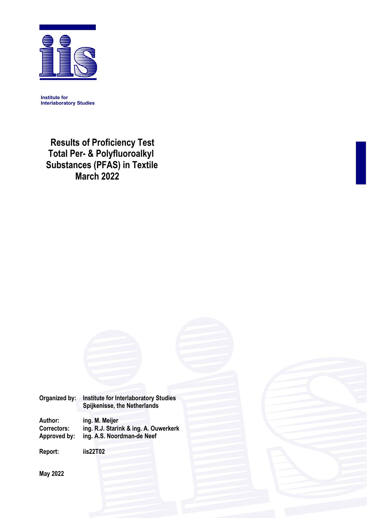

**Institute for Interlaboratory Studies** 

 **Results of Proficiency Test Total Per- & Polyfluoroalkyl Substances (PFAS) in Textile March 2022** 

**Organized by: Institute for Interlaboratory Studies Spijkenisse, the Netherlands Author: ing. M. Meijer** 

**Correctors: ing. R.J. Starink & ing. A. Ouwerkerk Approved by: ing. A.S. Noordman-de Neef** 

**Report: iis22T02** 

**May 2022**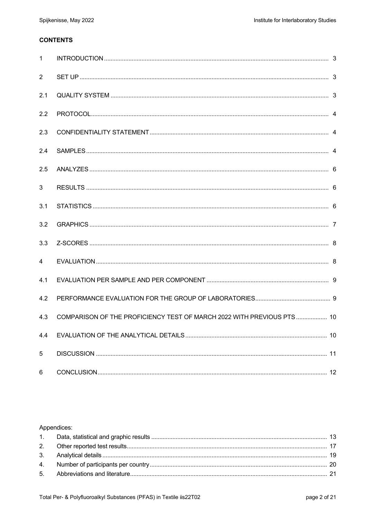# **CONTENTS**

| $\mathbf{1}$   |                                                                        |  |
|----------------|------------------------------------------------------------------------|--|
| $\overline{2}$ |                                                                        |  |
| 2.1            |                                                                        |  |
| 2.2            |                                                                        |  |
| 2.3            |                                                                        |  |
| 2.4            |                                                                        |  |
| 2.5            |                                                                        |  |
| 3              |                                                                        |  |
| 3.1            |                                                                        |  |
| 3.2            |                                                                        |  |
| 3.3            |                                                                        |  |
| 4              |                                                                        |  |
| 4.1            |                                                                        |  |
| 4.2            |                                                                        |  |
| 4.3            | COMPARISON OF THE PROFICIENCY TEST OF MARCH 2022 WITH PREVIOUS PTS  10 |  |
| 4.4            |                                                                        |  |
| 5              |                                                                        |  |
| 6              |                                                                        |  |

## Appendices: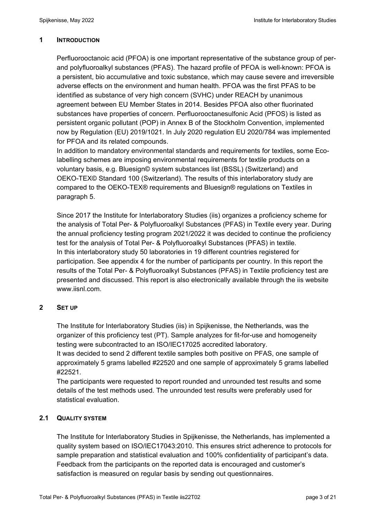## **1 INTRODUCTION**

Perfluorooctanoic acid (PFOA) is one important representative of the substance group of perand polyfluoroalkyl substances (PFAS). The hazard profile of PFOA is well-known: PFOA is a persistent, bio accumulative and toxic substance, which may cause severe and irreversible adverse effects on the environment and human health. PFOA was the first PFAS to be identified as substance of very high concern (SVHC) under REACH by unanimous agreement between EU Member States in 2014. Besides PFOA also other fluorinated substances have properties of concern. Perfluorooctanesulfonic Acid (PFOS) is listed as persistent organic pollutant (POP) in Annex B of the Stockholm Convention, implemented now by Regulation (EU) 2019/1021. In July 2020 regulation EU 2020/784 was implemented for PFOA and its related compounds.

In addition to mandatory environmental standards and requirements for textiles, some Ecolabelling schemes are imposing environmental requirements for textile products on a voluntary basis, e.g. Bluesign© system substances list (BSSL) (Switzerland) and OEKO-TEX© Standard 100 (Switzerland). The results of this interlaboratory study are compared to the OEKO-TEX® requirements and Bluesign® regulations on Textiles in paragraph 5.

Since 2017 the Institute for Interlaboratory Studies (iis) organizes a proficiency scheme for the analysis of Total Per- & Polyfluoroalkyl Substances (PFAS) in Textile every year. During the annual proficiency testing program 2021/2022 it was decided to continue the proficiency test for the analysis of Total Per- & Polyfluoroalkyl Substances (PFAS) in textile. In this interlaboratory study 50 laboratories in 19 different countries registered for participation. See appendix 4 for the number of participants per country. In this report the results of the Total Per- & Polyfluoroalkyl Substances (PFAS) in Textile proficiency test are presented and discussed. This report is also electronically available through the iis website www.iisnl.com.

# **2 SET UP**

The Institute for Interlaboratory Studies (iis) in Spijkenisse, the Netherlands, was the organizer of this proficiency test (PT). Sample analyzes for fit-for-use and homogeneity testing were subcontracted to an ISO/IEC17025 accredited laboratory.

It was decided to send 2 different textile samples both positive on PFAS, one sample of approximately 5 grams labelled #22520 and one sample of approximately 5 grams labelled #22521.

The participants were requested to report rounded and unrounded test results and some details of the test methods used. The unrounded test results were preferably used for statistical evaluation.

# **2.1 QUALITY SYSTEM**

The Institute for Interlaboratory Studies in Spijkenisse, the Netherlands, has implemented a quality system based on ISO/IEC17043:2010. This ensures strict adherence to protocols for sample preparation and statistical evaluation and 100% confidentiality of participant's data. Feedback from the participants on the reported data is encouraged and customer's satisfaction is measured on regular basis by sending out questionnaires.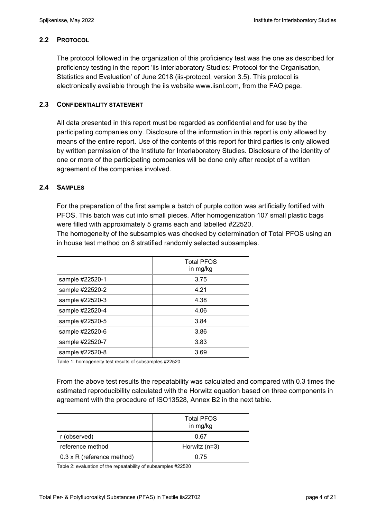## **2.2 PROTOCOL**

The protocol followed in the organization of this proficiency test was the one as described for proficiency testing in the report 'iis Interlaboratory Studies: Protocol for the Organisation, Statistics and Evaluation' of June 2018 (iis-protocol, version 3.5). This protocol is electronically available through the iis website www.iisnl.com, from the FAQ page.

## **2.3 CONFIDENTIALITY STATEMENT**

All data presented in this report must be regarded as confidential and for use by the participating companies only. Disclosure of the information in this report is only allowed by means of the entire report. Use of the contents of this report for third parties is only allowed by written permission of the Institute for Interlaboratory Studies. Disclosure of the identity of one or more of the participating companies will be done only after receipt of a written agreement of the companies involved.

## **2.4 SAMPLES**

For the preparation of the first sample a batch of purple cotton was artificially fortified with PFOS. This batch was cut into small pieces. After homogenization 107 small plastic bags were filled with approximately 5 grams each and labelled #22520.

The homogeneity of the subsamples was checked by determination of Total PFOS using an in house test method on 8 stratified randomly selected subsamples.

|                 | <b>Total PFOS</b><br>in mg/kg |
|-----------------|-------------------------------|
| sample #22520-1 | 3.75                          |
| sample #22520-2 | 4.21                          |
| sample #22520-3 | 4.38                          |
| sample #22520-4 | 4.06                          |
| sample #22520-5 | 3.84                          |
| sample #22520-6 | 3.86                          |
| sample #22520-7 | 3.83                          |
| sample #22520-8 | 3.69                          |

Table 1: homogeneity test results of subsamples #22520

From the above test results the repeatability was calculated and compared with 0.3 times the estimated reproducibility calculated with the Horwitz equation based on three components in agreement with the procedure of ISO13528, Annex B2 in the next table.

|                                 | <b>Total PFOS</b><br>in mg/kg |
|---------------------------------|-------------------------------|
| r (observed)                    | 0.67                          |
| reference method                | Horwitz $(n=3)$               |
| $\,$ 0.3 x R (reference method) | 0.75                          |

Table 2: evaluation of the repeatability of subsamples #22520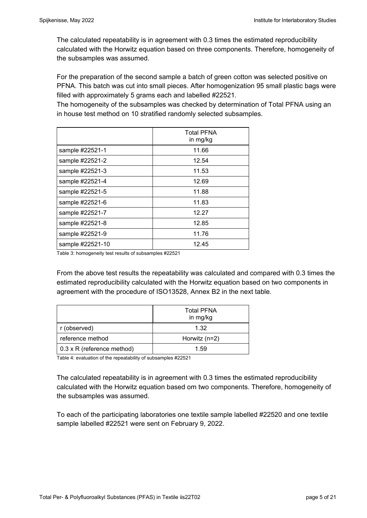The calculated repeatability is in agreement with 0.3 times the estimated reproducibility calculated with the Horwitz equation based on three components. Therefore, homogeneity of the subsamples was assumed.

For the preparation of the second sample a batch of green cotton was selected positive on PFNA. This batch was cut into small pieces. After homogenization 95 small plastic bags were filled with approximately 5 grams each and labelled #22521.

The homogeneity of the subsamples was checked by determination of Total PFNA using an in house test method on 10 stratified randomly selected subsamples.

|                  | <b>Total PFNA</b><br>in mg/kg |
|------------------|-------------------------------|
| sample #22521-1  | 11.66                         |
| sample #22521-2  | 12.54                         |
| sample #22521-3  | 11.53                         |
| sample #22521-4  | 12.69                         |
| sample #22521-5  | 11.88                         |
| sample #22521-6  | 11.83                         |
| sample #22521-7  | 12.27                         |
| sample #22521-8  | 12.85                         |
| sample #22521-9  | 11.76                         |
| sample #22521-10 | 12.45                         |

Table 3: homogeneity test results of subsamples #22521

From the above test results the repeatability was calculated and compared with 0.3 times the estimated reproducibility calculated with the Horwitz equation based on two components in agreement with the procedure of ISO13528, Annex B2 in the next table.

|                                   | <b>Total PFNA</b><br>in mg/kg |
|-----------------------------------|-------------------------------|
| r (observed)                      | 1.32                          |
| reference method                  | Horwitz $(n=2)$               |
| $0.3 \times R$ (reference method) | 1.59                          |

Table 4: evaluation of the repeatability of subsamples #22521

The calculated repeatability is in agreement with 0.3 times the estimated reproducibility calculated with the Horwitz equation based om two components. Therefore, homogeneity of the subsamples was assumed.

To each of the participating laboratories one textile sample labelled #22520 and one textile sample labelled #22521 were sent on February 9, 2022.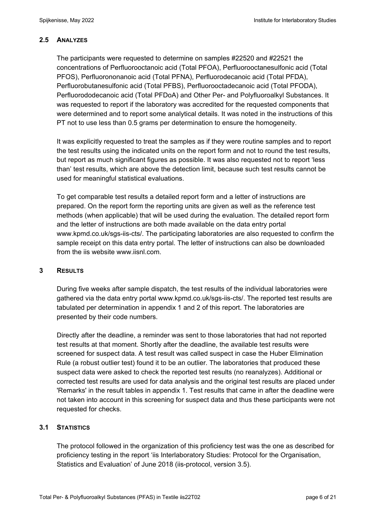# **2.5 ANALYZES**

The participants were requested to determine on samples #22520 and #22521 the concentrations of Perfluorooctanoic acid (Total PFOA), Perfluorooctanesulfonic acid (Total PFOS), Perfluorononanoic acid (Total PFNA), Perfluorodecanoic acid (Total PFDA), Perfluorobutanesulfonic acid (Total PFBS), Perfluorooctadecanoic acid (Total PFODA), Perfluorododecanoic acid (Total PFDoA) and Other Per- and Polyfluoroalkyl Substances. It was requested to report if the laboratory was accredited for the requested components that were determined and to report some analytical details. It was noted in the instructions of this PT not to use less than 0.5 grams per determination to ensure the homogeneity.

It was explicitly requested to treat the samples as if they were routine samples and to report the test results using the indicated units on the report form and not to round the test results, but report as much significant figures as possible. It was also requested not to report 'less than' test results, which are above the detection limit, because such test results cannot be used for meaningful statistical evaluations.

To get comparable test results a detailed report form and a letter of instructions are prepared. On the report form the reporting units are given as well as the reference test methods (when applicable) that will be used during the evaluation. The detailed report form and the letter of instructions are both made available on the data entry portal www.kpmd.co.uk/sgs-iis-cts/. The participating laboratories are also requested to confirm the sample receipt on this data entry portal. The letter of instructions can also be downloaded from the iis website www.iisnl.com.

### **3 RESULTS**

During five weeks after sample dispatch, the test results of the individual laboratories were gathered via the data entry portal www.kpmd.co.uk/sgs-iis-cts/. The reported test results are tabulated per determination in appendix 1 and 2 of this report. The laboratories are presented by their code numbers.

Directly after the deadline, a reminder was sent to those laboratories that had not reported test results at that moment. Shortly after the deadline, the available test results were screened for suspect data. A test result was called suspect in case the Huber Elimination Rule (a robust outlier test) found it to be an outlier. The laboratories that produced these suspect data were asked to check the reported test results (no reanalyzes). Additional or corrected test results are used for data analysis and the original test results are placed under 'Remarks' in the result tables in appendix 1. Test results that came in after the deadline were not taken into account in this screening for suspect data and thus these participants were not requested for checks.

# **3.1 STATISTICS**

The protocol followed in the organization of this proficiency test was the one as described for proficiency testing in the report 'iis Interlaboratory Studies: Protocol for the Organisation, Statistics and Evaluation' of June 2018 (iis-protocol, version 3.5).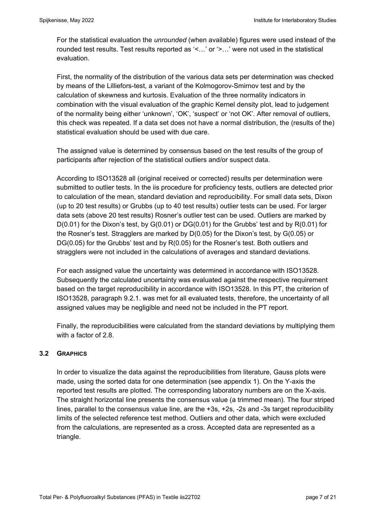For the statistical evaluation the *unrounded* (when available) figures were used instead of the rounded test results. Test results reported as '<…' or '>…' were not used in the statistical evaluation.

First, the normality of the distribution of the various data sets per determination was checked by means of the Lilliefors-test, a variant of the Kolmogorov-Smirnov test and by the calculation of skewness and kurtosis. Evaluation of the three normality indicators in combination with the visual evaluation of the graphic Kernel density plot, lead to judgement of the normality being either 'unknown', 'OK', 'suspect' or 'not OK'. After removal of outliers, this check was repeated. If a data set does not have a normal distribution, the (results of the) statistical evaluation should be used with due care.

The assigned value is determined by consensus based on the test results of the group of participants after rejection of the statistical outliers and/or suspect data.

According to ISO13528 all (original received or corrected) results per determination were submitted to outlier tests. In the iis procedure for proficiency tests, outliers are detected prior to calculation of the mean, standard deviation and reproducibility. For small data sets, Dixon (up to 20 test results) or Grubbs (up to 40 test results) outlier tests can be used. For larger data sets (above 20 test results) Rosner's outlier test can be used. Outliers are marked by D(0.01) for the Dixon's test, by G(0.01) or DG(0.01) for the Grubbs' test and by R(0.01) for the Rosner's test. Stragglers are marked by D(0.05) for the Dixon's test, by G(0.05) or DG(0.05) for the Grubbs' test and by R(0.05) for the Rosner's test. Both outliers and stragglers were not included in the calculations of averages and standard deviations.

For each assigned value the uncertainty was determined in accordance with ISO13528. Subsequently the calculated uncertainty was evaluated against the respective requirement based on the target reproducibility in accordance with ISO13528. In this PT, the criterion of ISO13528, paragraph 9.2.1. was met for all evaluated tests, therefore, the uncertainty of all assigned values may be negligible and need not be included in the PT report.

Finally, the reproducibilities were calculated from the standard deviations by multiplying them with a factor of 2.8

### **3.2 GRAPHICS**

In order to visualize the data against the reproducibilities from literature, Gauss plots were made, using the sorted data for one determination (see appendix 1). On the Y-axis the reported test results are plotted. The corresponding laboratory numbers are on the X-axis. The straight horizontal line presents the consensus value (a trimmed mean). The four striped lines, parallel to the consensus value line, are the +3s, +2s, -2s and -3s target reproducibility limits of the selected reference test method. Outliers and other data, which were excluded from the calculations, are represented as a cross. Accepted data are represented as a triangle.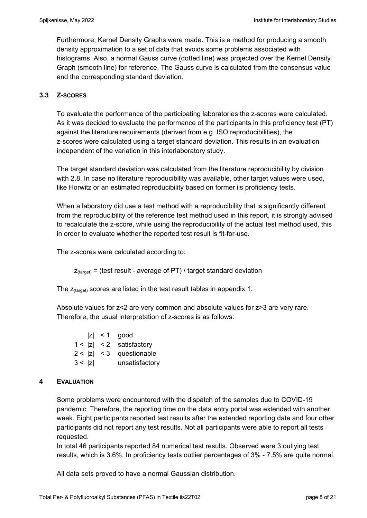Furthermore, Kernel Density Graphs were made. This is a method for producing a smooth density approximation to a set of data that avoids some problems associated with histograms. Also, a normal Gauss curve (dotted line) was projected over the Kernel Density Graph (smooth line) for reference. The Gauss curve is calculated from the consensus value and the corresponding standard deviation.

## **3.3 Z-SCORES**

To evaluate the performance of the participating laboratories the z-scores were calculated. As it was decided to evaluate the performance of the participants in this proficiency test (PT) against the literature requirements (derived from e.g. ISO reproducibilities), the z-scores were calculated using a target standard deviation. This results in an evaluation independent of the variation in this interlaboratory study.

The target standard deviation was calculated from the literature reproducibility by division with 2.8. In case no literature reproducibility was available, other target values were used, like Horwitz or an estimated reproducibility based on former iis proficiency tests.

When a laboratory did use a test method with a reproducibility that is significantly different from the reproducibility of the reference test method used in this report, it is strongly advised to recalculate the z-score, while using the reproducibility of the actual test method used, this in order to evaluate whether the reported test result is fit-for-use.

The z-scores were calculated according to:

 $Z_{\text{target}}$  = (test result - average of PT) / target standard deviation

The  $z_{\text{(target)}}$  scores are listed in the test result tables in appendix 1.

Absolute values for z<2 are very common and absolute values for z>3 are very rare. Therefore, the usual interpretation of z-scores is as follows:

 $|z|$  < 1 good 1 < |z| < 2 satisfactory 2 < |z| < 3 questionable 3 < |z| unsatisfactory

### **4 EVALUATION**

Some problems were encountered with the dispatch of the samples due to COVID-19 pandemic. Therefore, the reporting time on the data entry portal was extended with another week. Eight participants reported test results after the extended reporting date and four other participants did not report any test results. Not all participants were able to report all tests requested.

In total 46 participants reported 84 numerical test results. Observed were 3 outlying test results, which is 3.6%. In proficiency tests outlier percentages of 3% - 7.5% are quite normal.

All data sets proved to have a normal Gaussian distribution.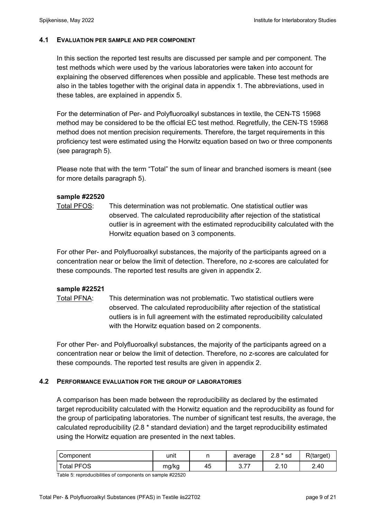### **4.1 EVALUATION PER SAMPLE AND PER COMPONENT**

In this section the reported test results are discussed per sample and per component. The test methods which were used by the various laboratories were taken into account for explaining the observed differences when possible and applicable. These test methods are also in the tables together with the original data in appendix 1. The abbreviations, used in these tables, are explained in appendix 5.

For the determination of Per- and Polyfluoroalkyl substances in textile, the CEN-TS 15968 method may be considered to be the official EC test method. Regretfully, the CEN-TS 15968 method does not mention precision requirements. Therefore, the target requirements in this proficiency test were estimated using the Horwitz equation based on two or three components (see paragraph 5).

Please note that with the term "Total" the sum of linear and branched isomers is meant (see for more details paragraph 5).

#### **sample #22520**

# Total PFOS: This determination was not problematic. One statistical outlier was observed. The calculated reproducibility after rejection of the statistical outlier is in agreement with the estimated reproducibility calculated with the Horwitz equation based on 3 components.

For other Per- and Polyfluoroalkyl substances, the majority of the participants agreed on a concentration near or below the limit of detection. Therefore, no z-scores are calculated for these compounds. The reported test results are given in appendix 2.

### **sample #22521**

Total PFNA: This determination was not problematic. Two statistical outliers were observed. The calculated reproducibility after rejection of the statistical outliers is in full agreement with the estimated reproducibility calculated with the Horwitz equation based on 2 components.

For other Per- and Polyfluoroalkyl substances, the majority of the participants agreed on a concentration near or below the limit of detection. Therefore, no z-scores are calculated for these compounds. The reported test results are given in appendix 2.

### **4.2 PERFORMANCE EVALUATION FOR THE GROUP OF LABORATORIES**

A comparison has been made between the reproducibility as declared by the estimated target reproducibility calculated with the Horwitz equation and the reproducibility as found for the group of participating laboratories. The number of significant test results, the average, the calculated reproducibility (2.8 \* standard deviation) and the target reproducibility estimated using the Horwitz equation are presented in the next tables.

| Component         | unit  |    | average              | $2.8 * sd$ | R(target) |
|-------------------|-------|----|----------------------|------------|-----------|
| <b>Total PFOS</b> | mg/kg | 45 | $\sim$ 77<br>، ، ، ب | 2.10       | 2.40      |

Table 5: reproducibilities of components on sample #22520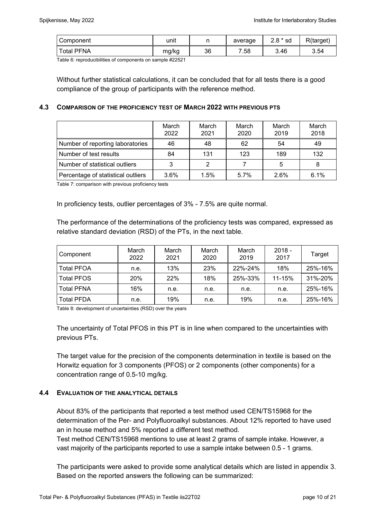| Component         | unit  |    | average | $2.8 * sd$ | R(target) |
|-------------------|-------|----|---------|------------|-----------|
| <b>Total PFNA</b> | mg/kg | 36 | 7.58    | 3.46       | 3.54      |

Table 6: reproducibilities of components on sample #22521

Without further statistical calculations, it can be concluded that for all tests there is a good compliance of the group of participants with the reference method.

### **4.3 COMPARISON OF THE PROFICIENCY TEST OF MARCH 2022 WITH PREVIOUS PTS**

|                                    | March<br>2022 | March<br>2021 | March<br>2020 | March<br>2019 | March<br>2018 |
|------------------------------------|---------------|---------------|---------------|---------------|---------------|
| Number of reporting laboratories   | 46            | 48            | 62            | 54            | 49            |
| Number of test results             | 84            | 131           | 123           | 189           | 132           |
| Number of statistical outliers     | 3             |               |               | 5             | 8             |
| Percentage of statistical outliers | 3.6%          | 1.5%          | 5.7%          | 2.6%          | 6.1%          |

Table 7: comparison with previous proficiency tests

In proficiency tests, outlier percentages of 3% - 7.5% are quite normal.

The performance of the determinations of the proficiency tests was compared, expressed as relative standard deviation (RSD) of the PTs, in the next table.

| Component         | March<br>2022 | March<br>2021 | March<br>2020 | March<br>2019 | $2018 -$<br>2017 | Target  |
|-------------------|---------------|---------------|---------------|---------------|------------------|---------|
| <b>Total PFOA</b> | n.e.          | 13%           | 23%           | 22%-24%       | 18%              | 25%-16% |
| <b>Total PFOS</b> | 20%           | 22%           | 18%           | 25%-33%       | 11-15%           | 31%-20% |
| <b>Total PFNA</b> | 16%           | n.e.          | n.e.          | n.e.          | n.e.             | 25%-16% |
| <b>Total PFDA</b> | n.e.          | 19%           | n.e.          | 19%           | n.e.             | 25%-16% |

Table 8: development of uncertainties (RSD) over the years

The uncertainty of Total PFOS in this PT is in line when compared to the uncertainties with previous PTs.

The target value for the precision of the components determination in textile is based on the Horwitz equation for 3 components (PFOS) or 2 components (other components) for a concentration range of 0.5-10 mg/kg.

#### **4.4 EVALUATION OF THE ANALYTICAL DETAILS**

About 83% of the participants that reported a test method used CEN/TS15968 for the determination of the Per- and Polyfluoroalkyl substances. About 12% reported to have used an in house method and 5% reported a different test method.

Test method CEN/TS15968 mentions to use at least 2 grams of sample intake. However, a vast majority of the participants reported to use a sample intake between 0.5 - 1 grams.

The participants were asked to provide some analytical details which are listed in appendix 3. Based on the reported answers the following can be summarized: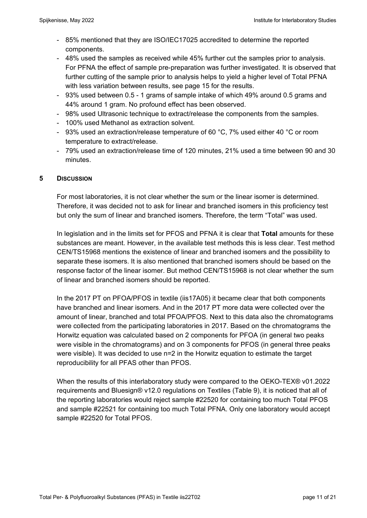- 85% mentioned that they are ISO/IEC17025 accredited to determine the reported components.
- 48% used the samples as received while 45% further cut the samples prior to analysis. For PFNA the effect of sample pre-preparation was further investigated. It is observed that further cutting of the sample prior to analysis helps to yield a higher level of Total PFNA with less variation between results, see page 15 for the results.
- 93% used between 0.5 1 grams of sample intake of which 49% around 0.5 grams and 44% around 1 gram. No profound effect has been observed.
- 98% used Ultrasonic technique to extract/release the components from the samples.
- 100% used Methanol as extraction solvent.
- 93% used an extraction/release temperature of 60 °C, 7% used either 40 °C or room temperature to extract/release.
- 79% used an extraction/release time of 120 minutes, 21% used a time between 90 and 30 minutes.

#### **5 DISCUSSION**

For most laboratories, it is not clear whether the sum or the linear isomer is determined. Therefore, it was decided not to ask for linear and branched isomers in this proficiency test but only the sum of linear and branched isomers. Therefore, the term "Total" was used.

In legislation and in the limits set for PFOS and PFNA it is clear that **Total** amounts for these substances are meant. However, in the available test methods this is less clear. Test method CEN/TS15968 mentions the existence of linear and branched isomers and the possibility to separate these isomers. It is also mentioned that branched isomers should be based on the response factor of the linear isomer. But method CEN/TS15968 is not clear whether the sum of linear and branched isomers should be reported.

In the 2017 PT on PFOA/PFOS in textile (iis17A05) it became clear that both components have branched and linear isomers. And in the 2017 PT more data were collected over the amount of linear, branched and total PFOA/PFOS. Next to this data also the chromatograms were collected from the participating laboratories in 2017. Based on the chromatograms the Horwitz equation was calculated based on 2 components for PFOA (in general two peaks were visible in the chromatograms) and on 3 components for PFOS (in general three peaks were visible). It was decided to use n=2 in the Horwitz equation to estimate the target reproducibility for all PFAS other than PFOS.

When the results of this interlaboratory study were compared to the OEKO-TEX® v01.2022 requirements and Bluesign® v12.0 regulations on Textiles (Table 9), it is noticed that all of the reporting laboratories would reject sample #22520 for containing too much Total PFOS and sample #22521 for containing too much Total PFNA. Only one laboratory would accept sample #22520 for Total PFOS.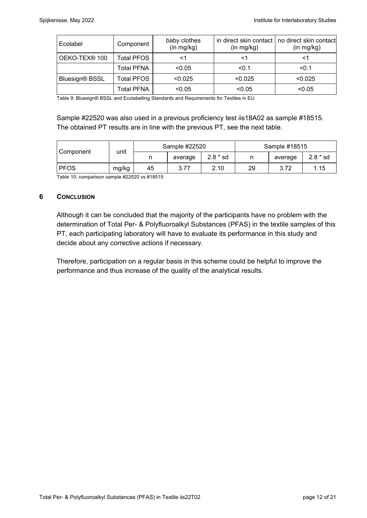| Ecolabel       | Component         | baby clothes<br>(in mg/kg) | in direct skin contact I<br>(in mg/kg) | no direct skin contactl<br>(in mg/kg) |
|----------------|-------------------|----------------------------|----------------------------------------|---------------------------------------|
| OEKO-TEX® 100  | <b>Total PFOS</b> | <1                         | <1                                     | <1                                    |
|                | Total PFNA        | < 0.05                     | < 0.1                                  | < 0.1                                 |
| Bluesign® BSSL | Total PFOS        | < 0.025                    | < 0.025                                | < 0.025                               |
|                | Total PFNA        | < 0.05                     | < 0.05                                 | < 0.05                                |

Table 9: Bluesign® BSSL and Ecolabelling Standards and Requirements for Textiles in EU

Sample #22520 was also used in a previous proficiency test iis18A02 as sample #18515. The obtained PT results are in line with the previous PT, see the next table.

|             |       | Sample #22520 |         |            | Sample #18515 |         |            |
|-------------|-------|---------------|---------|------------|---------------|---------|------------|
| Component   | unit  |               | average | $2.8 * sd$ |               | average | $2.8 * sd$ |
| <b>PFOS</b> | mg/kg | 45            | 3.77    | 2.10       | 29            | 3.72    | 1.15       |

Table 10: comparison sample #22520 vs #18515

#### **6 CONCLUSION**

Although it can be concluded that the majority of the participants have no problem with the determination of Total Per- & Polyfluoroalkyl Substances (PFAS) in the textile samples of this PT, each participating laboratory will have to evaluate its performance in this study and decide about any corrective actions if necessary.

Therefore, participation on a regular basis in this scheme could be helpful to improve the performance and thus increase of the quality of the analytical results.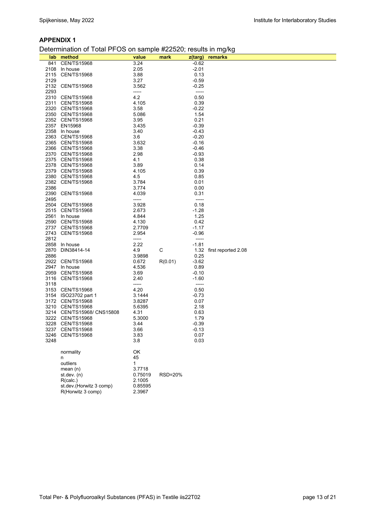#### **APPENDIX 1**

Determination of Total PFOS on sample #22520; results in mg/kg

|      | Duch in induction of Total TT OO on Sample $\pi$ zzozo, Tesults in myny |              |         |         |                          |
|------|-------------------------------------------------------------------------|--------------|---------|---------|--------------------------|
|      | lab method                                                              | value        | mark    |         | z(targ) remarks          |
| 841  | <b>CEN/TS15968</b>                                                      | 3.24         |         | $-0.62$ |                          |
|      | 2108 In house                                                           | 2.05         |         | $-2.01$ |                          |
|      | 2115 CEN/TS15968                                                        | 3.88         |         | 0.13    |                          |
| 2129 |                                                                         | 3.27         |         | $-0.59$ |                          |
|      | 2132 CEN/TS15968                                                        | 3.562        |         | $-0.25$ |                          |
| 2293 |                                                                         | -----        |         | -----   |                          |
|      | 2310 CEN/TS15968                                                        | 4.2          |         | 0.50    |                          |
|      | 2311 CEN/TS15968                                                        | 4.105        |         | 0.39    |                          |
|      | 2320 CEN/TS15968                                                        | 3.58         |         | $-0.22$ |                          |
|      | 2350 CEN/TS15968                                                        | 5.086        |         | 1.54    |                          |
|      | 2352 CEN/TS15968                                                        | 3.95         |         | 0.21    |                          |
|      | 2357 EN15968                                                            | 3.435        |         | $-0.39$ |                          |
|      | 2358 In house                                                           | 3.40         |         | $-0.43$ |                          |
|      | 2363 CEN/TS15968                                                        | 3.6          |         | $-0.20$ |                          |
|      | 2365 CEN/TS15968                                                        | 3.632        |         | $-0.16$ |                          |
|      | 2366 CEN/TS15968                                                        | 3.38         |         | $-0.46$ |                          |
|      | 2370 CEN/TS15968                                                        | 2.98         |         | $-0.93$ |                          |
|      |                                                                         |              |         |         |                          |
|      | 2375 CEN/TS15968                                                        | 4.1          |         | 0.38    |                          |
|      | 2378 CEN/TS15968                                                        | 3.89         |         | 0.14    |                          |
|      | 2379 CEN/TS15968                                                        | 4.105        |         | 0.39    |                          |
|      | 2380 CEN/TS15968                                                        | 4.5          |         | 0.85    |                          |
|      | 2382 CEN/TS15968                                                        | 3.784        |         | 0.01    |                          |
| 2386 |                                                                         | 3.774        |         | 0.00    |                          |
|      | 2390 CEN/TS15968                                                        | 4.039        |         | 0.31    |                          |
| 2495 |                                                                         | -----        |         | $-----$ |                          |
|      | 2504 CEN/TS15968                                                        | 3.928        |         | 0.18    |                          |
|      | 2515 CEN/TS15968                                                        | 2.673        |         | $-1.28$ |                          |
|      | 2561 In house                                                           | 4.844        |         | 1.25    |                          |
|      | 2590 CEN/TS15968                                                        | 4.130        |         | 0.42    |                          |
|      | 2737 CEN/TS15968                                                        | 2.7709       |         | $-1.17$ |                          |
|      | 2743 CEN/TS15968                                                        | 2.954        |         | $-0.96$ |                          |
| 2812 |                                                                         | -----        |         | -----   |                          |
|      | 2858 In house                                                           | 2.22         |         | $-1.81$ |                          |
|      | 2870 DIN38414-14                                                        | 4.9          | C       |         | 1.32 first reported 2.08 |
| 2886 |                                                                         | 3.9898       |         | 0.25    |                          |
|      | 2922 CEN/TS15968                                                        | 0.672        | R(0.01) | $-3.62$ |                          |
|      | 2947 In house                                                           | 4.536        |         | 0.89    |                          |
|      | 2959 CEN/TS15968                                                        | 3.69         |         | $-0.10$ |                          |
|      | 3116 CEN/TS15968                                                        | 2.40         |         | $-1.60$ |                          |
| 3118 |                                                                         | -----        |         | -----   |                          |
|      | 3153 CEN/TS15968                                                        | 4.20         |         | 0.50    |                          |
|      | 3154 ISO23702 part 1                                                    | 3.1444       |         | $-0.73$ |                          |
|      | 3172 CEN/TS15968                                                        | 3.8287       |         | 0.07    |                          |
|      | 3210 CEN/TS15968                                                        | 5.6395       |         | 2.18    |                          |
|      | 3214 CEN/TS15968/ CNS15808                                              | 4.31         |         | 0.63    |                          |
|      | 3222 CEN/TS15968                                                        | 5.3000       |         | 1.79    |                          |
|      | 3228 CEN/TS15968                                                        | 3.44         |         | $-0.39$ |                          |
|      | 3237 CEN/TS15968                                                        | 3.66         |         | $-0.13$ |                          |
|      |                                                                         | 3.83         |         | 0.07    |                          |
| 3248 | 3246 CEN/TS15968                                                        |              |         | 0.03    |                          |
|      |                                                                         | 3.8          |         |         |                          |
|      |                                                                         | OK           |         |         |                          |
|      | normality                                                               | 45           |         |         |                          |
|      | n                                                                       | $\mathbf{1}$ |         |         |                          |
|      | outliers                                                                |              |         |         |                          |
|      | mean $(n)$                                                              | 3.7718       |         |         |                          |
|      | st.dev. (n)                                                             | 0.75019      | RSD=20% |         |                          |
|      | R(calc.)                                                                | 2.1005       |         |         |                          |
|      | st.dev.(Horwitz 3 comp)                                                 | 0.85595      |         |         |                          |
|      | R(Horwitz 3 comp)                                                       | 2.3967       |         |         |                          |
|      |                                                                         |              |         |         |                          |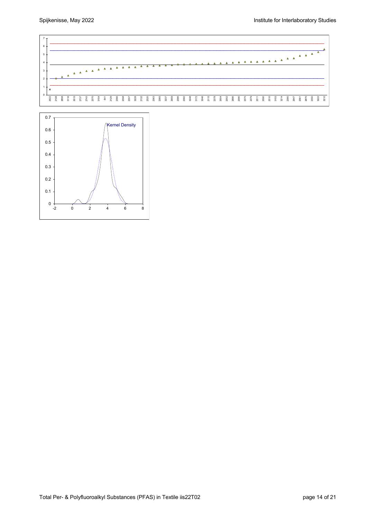

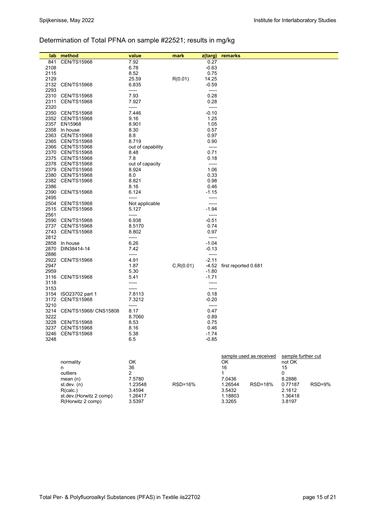### Determination of Total PFNA on sample #22521; results in mg/kg

| lab          | method                               | value             | mark       | z(targ)          | remarks                   |                          |
|--------------|--------------------------------------|-------------------|------------|------------------|---------------------------|--------------------------|
| 841          | <b>CEN/TS15968</b>                   | 7.92              |            | 0.27             |                           |                          |
| 2108         |                                      | 6.78              |            | $-0.63$          |                           |                          |
| 2115         |                                      | 8.52              |            | 0.75             |                           |                          |
| 2129         |                                      | 25.59             | R(0.01)    | 14.25            |                           |                          |
|              | 2132 CEN/TS15968                     | 6.835             |            | $-0.59$          |                           |                          |
| 2293         |                                      | -----             |            | -----            |                           |                          |
|              | 2310 CEN/TS15968                     | 7.93              |            | 0.28             |                           |                          |
| 2311         | CEN/TS15968                          | 7.927             |            | 0.28             |                           |                          |
| 2320         |                                      | -----             |            | -----            |                           |                          |
|              | 2350 CEN/TS15968                     | 7.446             |            | $-0.10$          |                           |                          |
|              | 2352 CEN/TS15968                     | 9.16              |            | 1.25             |                           |                          |
|              | 2357 EN15968                         | 8.901             |            | 1.05             |                           |                          |
|              | 2358 In house                        | 8.30              |            | 0.57             |                           |                          |
|              | 2363 CEN/TS15968                     | 8.8               |            | 0.97             |                           |                          |
|              | 2365 CEN/TS15968                     | 8.719             |            | 0.90             |                           |                          |
|              | 2366 CEN/TS15968                     | out of capability |            | $-----$<br>0.71  |                           |                          |
|              | 2370 CEN/TS15968<br>2375 CEN/TS15968 | 8.48<br>7.8       |            | 0.18             |                           |                          |
|              | 2378 CEN/TS15968                     | out of capacity   |            | -----            |                           |                          |
|              | 2379 CEN/TS15968                     | 8.924             |            | 1.06             |                           |                          |
|              | 2380 CEN/TS15968                     | 8.0               |            | 0.33             |                           |                          |
|              | 2382 CEN/TS15968                     | 8.821             |            | 0.98             |                           |                          |
| 2386         |                                      | 8.16              |            | 0.46             |                           |                          |
|              | 2390 CEN/TS15968                     | 6.124             |            | $-1.15$          |                           |                          |
| 2495         |                                      | -----             |            | -----            |                           |                          |
|              | 2504 CEN/TS15968                     | Not applicable    |            | -----            |                           |                          |
|              | 2515 CEN/TS15968                     | 5.127             |            | $-1.94$          |                           |                          |
| 2561         |                                      | -----             |            | -----            |                           |                          |
|              | 2590 CEN/TS15968                     | 6.938             |            | $-0.51$          |                           |                          |
|              | 2737 CEN/TS15968                     | 8.5170            |            | 0.74             |                           |                          |
|              | 2743 CEN/TS15968                     | 8.802             |            | 0.97             |                           |                          |
| 2812         |                                      | -----             |            | -----            |                           |                          |
|              | 2858 In house                        | 6.26              |            | $-1.04$          |                           |                          |
|              | 2870 DIN38414-14                     | 7.42              |            | $-0.13$          |                           |                          |
| 2886         |                                      | -----             |            | $-----$          |                           |                          |
|              | 2922 CEN/TS15968                     | 4.91              |            | $-2.11$          |                           |                          |
| 2947<br>2959 |                                      | 1.87<br>5.30      | C, R(0.01) | -4.52<br>$-1.80$ | first reported 0.681      |                          |
|              | 3116 CEN/TS15968                     | 5.41              |            | $-1.71$          |                           |                          |
| 3118         |                                      | -----             |            | -----            |                           |                          |
| 3153         |                                      |                   |            | -----            |                           |                          |
| 3154         | ISO23702 part 1                      | 7.8113            |            | 0.18             |                           |                          |
|              | 3172 CEN/TS15968                     | 7.3212            |            | $-0.20$          |                           |                          |
| 3210         |                                      | -----             |            | $-----$          |                           |                          |
|              | 3214 CEN/TS15968/ CNS15808           | 8.17              |            | 0.47             |                           |                          |
| 3222         |                                      | 8.7060            |            | 0.89             |                           |                          |
|              | 3228 CEN/TS15968                     | 8.53              |            | 0.75             |                           |                          |
|              | 3237 CEN/TS15968                     | 8.16              |            | 0.46             |                           |                          |
|              | 3246 CEN/TS15968                     | 5.38              |            | $-1.74$          |                           |                          |
| 3248         |                                      | 6.5               |            | $-0.85$          |                           |                          |
|              |                                      |                   |            |                  |                           |                          |
|              |                                      |                   |            |                  |                           |                          |
|              |                                      |                   |            |                  | sample used as received   | sample further cut       |
|              | normality                            | OK<br>36          |            |                  | OK                        | not OK                   |
|              | n<br>outliers                        | $\overline{2}$    |            |                  | 16<br>$\mathbf{1}$        | 15<br>0                  |
|              | mean $(n)$                           | 7.5780            |            |                  | 7.0436                    | 8.2886                   |
|              | st. dev. (n)                         | 1.23548           | RSD=16%    |                  | <b>RSD=18%</b><br>1.26544 | <b>RSD=9%</b><br>0.77187 |
|              | R(calc.)                             | 3.4594            |            |                  | 3.5432                    | 2.1612                   |

st.dev.(Horwitz 2 comp) 1.26417 1.18803 1.36418 R(Horwitz 2 comp) 3.5397 3.3265 3.8197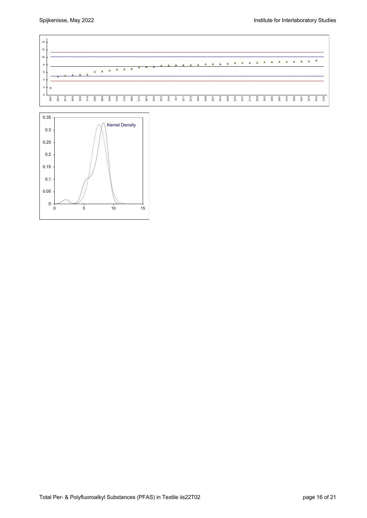

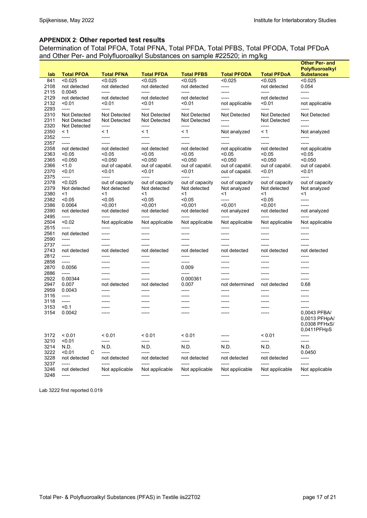#### **APPENDIX 2**: **Other reported test results**

Determination of Total PFOA, Total PFNA, Total PFDA, Total PFBS, Total PFODA, Total PFDoA and Other Per- and Polyfluoroalkyl Substances on sample #22520; in mg/kg

| lab          | <b>Total PFOA</b>            | <b>Total PFNA</b>            | <b>Total PFDA</b>            | <b>Total PFBS</b>            | <b>Total PFODA</b>      | <b>Total PFDoA</b>           | <b>Other Per- and</b><br>Polyfluoroalkyl<br><b>Substances</b> |
|--------------|------------------------------|------------------------------|------------------------------|------------------------------|-------------------------|------------------------------|---------------------------------------------------------------|
| 841          | < 0.025                      | < 0.025                      | < 0.025                      | < 0.025                      | < 0.025                 | < 0.025                      | < 0.025                                                       |
| 2108         | not detected                 | not detected                 | not detected                 | not detected                 | -----                   | not detected                 | 0.054                                                         |
|              |                              | -----                        | $--- -$                      | -----                        |                         | -----                        |                                                               |
| 2115<br>2129 | 0.0045                       |                              |                              |                              | -----<br>-----          |                              | -----<br>$--- -$                                              |
|              | not detected                 | not detected                 | not detected                 | not detected                 |                         | not detected                 |                                                               |
| 2132<br>2293 | < 0.01<br>-----              | < 0.01<br>-----              | < 0.01<br>-----              | < 0.01<br>-----              | not applicable<br>----- | < 0.01<br>-----              | not applicable<br>$\overline{\phantom{a}}$                    |
| 2310         |                              |                              |                              |                              |                         |                              |                                                               |
| 2311         | Not Detected<br>Not Detected | Not Detected<br>Not Detected | Not Detected<br>Not Detected | Not Detected<br>Not Detected | Not Detected<br>-----   | Not Detected<br>Not Detected | Not Detected<br>-----                                         |
| 2320         | Not Detected                 | -----                        | -----                        | -----                        | -----                   | -----                        | -----                                                         |
| 2350         | $\leq 1$                     | < 1                          | < 1                          | $\leq 1$                     | Not analyzed            | < 1                          | Not analyzed                                                  |
| 2352         | -----                        | -----                        | $--- -$                      | -----                        | $--- -$                 | -----                        | $--- -$                                                       |
| 2357         | -----                        | -----                        | -----                        | -----                        | -----                   | -----                        | -----                                                         |
| 2358         | not detected                 | not detected                 | not detected                 | not detected                 | not applicable          | not detected                 | not applicable                                                |
| 2363         | < 0.05                       | < 0.05                       | < 0.05                       | < 0.05                       | < 0.05                  | < 0.05                       | < 0.05                                                        |
| 2365         | < 0.050                      | < 0.050                      | < 0.050                      | < 0.050                      | < 0.050                 | < 0.050                      | < 0.050                                                       |
| 2366         | 1.0                          | out of capabil.              | out of capabil.              | out of capabil.              | out of capabil.         | out of capabil.              | out of capabil.                                               |
| 2370         | < 0.01                       | <0.01                        | < 0.01                       | < 0.01                       | out of capabil.         | < 0.01                       | < 0.01                                                        |
| 2375         | -----                        | -----                        | -----                        | -----                        | -----                   | -----                        | -----                                                         |
| 2378         | < 0.025                      | out of capacity              | out of capacity              | out of capacity              | out of capacity         | out of capacity              | out of capacity                                               |
| 2379         | Not detected                 | Not detected                 | Not detected                 | Not detected                 | Not analyzed            | Not detected                 | Not analyzed                                                  |
| 2380         | <1                           | <1                           | <1                           | <1                           | <1                      | <1                           | $<$ 1                                                         |
| 2382         | < 0.05                       | < 0.05                       | < 0.05                       | < 0.05                       | -----                   | < 0.05                       | -----                                                         |
| 2386         | 0.0064                       | < 0.001                      | < 0.001                      | < 0.001                      | < 0.001                 | < 0.001                      | $--- -$                                                       |
| 2390         | not detected                 | not detected                 | not detected                 | not detected                 | not analyzed            | not detected                 | not analyzed                                                  |
| 2495         | -----                        | -----                        |                              | -----                        | $--- -$                 | -----                        | $- - - - -$                                                   |
| 2504         | < 0.02                       | Not applicable               | Not applicable               | Not applicable               | Not applicable          | Not applicable               | Not applicable                                                |
| 2515         | -----                        | -----                        | -----                        | -----                        | -----                   | -----                        | -----                                                         |
| 2561         | not detected                 | -----                        | -----                        | -----                        | -----                   | -----                        | $- - - - -$                                                   |
| 2590         | -----                        | -----                        | -----                        | -----                        | -----                   | -----                        | -----                                                         |
| 2737         | -----                        | -----                        | -----                        | -----                        | -----                   | -----                        | -----                                                         |
| 2743         | not detected                 | not detected                 | not detected                 | not detected                 | not detected            | not detected                 | not detected                                                  |
| 2812         | $-----$                      | -----                        | -----                        | -----                        | -----                   | -----                        | $- - - - -$                                                   |
| 2858         | $-----$                      | -----                        | -----                        | -----                        | -----                   | -----                        | $-----$                                                       |
| 2870         | 0.0056                       | -----                        | ------                       | 0.009                        | -----                   | -----                        | -----                                                         |
| 2886         | $-----$                      | -----                        | -----                        | -----                        | -----                   | -----                        | -----                                                         |
| 2922         | 0.00344                      | -----                        | -----                        | 0.000361                     | ------                  | -----                        | ------                                                        |
| 2947         | 0.007                        | not detected                 | not detected                 | 0.007                        | not determined          | not detected                 | 0.68                                                          |
| 2959         | 0.0043                       | -----                        | -----                        | -----                        | -----                   | -----                        | -----                                                         |
| 3116         | $-----$                      | -----                        | -----                        | -----                        | -----                   | -----                        | -----                                                         |
| 3118         | -----                        | -----                        | -----                        | -----                        | -----                   | -----                        | -----                                                         |
| 3153         | < 0.1                        | -----                        | -----                        | -----                        | -----                   | -----                        | -----                                                         |
| 3154         | 0.0042                       | -----                        | -----                        | -----                        | -----                   | -----                        | 0,0043 PFBA/<br>0,0013 PFHpA/<br>0,0308 PFHxS/<br>0,0411PFHpS |
| 3172         | < 0.01                       | < 0.01                       | < 0.01                       | < 0.01                       | -----                   | < 0.01                       | -----                                                         |
| 3210         | < 0.01                       | -----                        | -----                        | -----                        | -----                   | -----                        | -----                                                         |
| 3214         | N.D.<br>C                    | N.D.<br>$---$                | N.D.<br>$-$ ---              | N.D.<br>-----                | N.D.<br>$---$           | N.D.<br>-----                | N.D.                                                          |
| 3222<br>3228 | < 0.01<br>not detected       | not detected                 | not detected                 | not detected                 | not detected            | not detected                 | 0.0450<br>$-----$                                             |
| 3237         | $-----$                      |                              | -----                        |                              |                         |                              | $--- -$                                                       |
| 3246         | not detected                 | Not applicable               | Not applicable               | Not applicable               | Not applicable          | Not applicable               | Not applicable                                                |
| 3248         | $--- -$                      |                              | -----                        | -----                        | $--- -$                 | -----                        | $--- -$                                                       |

Lab 3222 first reported 0.019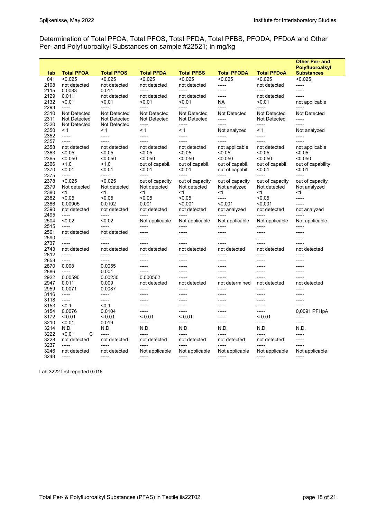Determination of Total PFOA, Total PFOS, Total PFDA, Total PFBS, PFODA, PFDoA and Other Per- and Polyfluoroalkyl Substances on sample #22521; in mg/kg

|              |                     |                          |                         |                       |                          |                       | <b>Other Per- and</b>  |
|--------------|---------------------|--------------------------|-------------------------|-----------------------|--------------------------|-----------------------|------------------------|
|              |                     |                          |                         |                       |                          |                       | <b>Polyfluoroalkyl</b> |
| lab          | <b>Total PFOA</b>   | <b>Total PFOS</b>        | <b>Total PFDA</b>       | <b>Total PFBS</b>     | <b>Total PFODA</b>       | <b>Total PFDoA</b>    | <b>Substances</b>      |
| 841          | < 0.025             | < 0.025                  | < 0.025                 | < 0.025               | < 0.025                  | < 0.025               | < 0.025                |
| 2108         | not detected        | not detected             | not detected            | not detected          | -----                    | not detected          | -----                  |
| 2115         | 0.0083              | 0.011                    | -----                   | -----                 | -----                    | $---$                 | -----                  |
| 2129         | 0.011               | not detected             | not detected            | not detected          | $--- -$                  | not detected          | $--- -$                |
| 2132         | < 0.01              | < 0.01                   | < 0.01<br>-----         | < 0.01                | <b>NA</b>                | < 0.01<br>$-----$     | not applicable         |
| 2293         | -----               | $-----$                  |                         | -----                 | $-----$                  |                       | -----                  |
| 2310         | Not Detected        | Not Detected             | Not Detected            | Not Detected          | <b>Not Detected</b>      | Not Detected          | Not Detected           |
| 2311         | Not Detected        | Not Detected             | Not Detected<br>$-----$ | Not Detected<br>----- | -----<br>-----           | Not Detected<br>----- | -----<br>-----         |
| 2320<br>2350 | Not Detected<br>< 1 | Not Detected<br>$\leq 1$ | $\leq 1$                | $\leq 1$              |                          | $\leq 1$              |                        |
| 2352         | $-----$             | $-----$                  | -----                   | -----                 | Not analyzed             | -----                 | Not analyzed<br>-----  |
| 2357         | -----               |                          | -----                   |                       | -----<br>$--- -$         | -----                 | -----                  |
| 2358         | not detected        | not detected             | not detected            | not detected          |                          | not detected          | not applicable         |
| 2363         | < 0.05              | < 0.05                   | < 0.05                  | < 0.05                | not applicable<br>< 0.05 | < 0.05                | < 0.05                 |
| 2365         | < 0.050             | < 0.050                  | < 0.050                 | < 0.050               | < 0.050                  | < 0.050               | < 0.050                |
| 2366         | 1.0                 | < 1.0                    | out of capabil.         | out of capabil.       | out of capabil.          | out of capabil.       | out of capability      |
| 2370         | < 0.01              | < 0.01                   | < 0.01                  | < 0.01                | out of capabil.          | <0.01                 | < 0.01                 |
| 2375         | -----               | -----                    | -----                   | -----                 | -----                    | -----                 | -----                  |
| 2378         | < 0.025             | < 0.025                  | out of capacity         | out of capacity       | out of capacity          | out of capacity       | out of capacity        |
| 2379         | Not detected        | Not detected             | Not detected            | Not detected          | Not analyzed             | Not detected          | Not analyzed           |
| 2380         | <1                  | <1                       | <1                      | <1                    | <1                       | <1                    | <1                     |
| 2382         | < 0.05              | < 0.05                   | < 0.05                  | < 0.05                | $--- -$                  | < 0.05                | -----                  |
| 2386         | 0.00905             | 0.0102                   | 0.001                   | < 0.001               | < 0.001                  | < 0.001               | -----                  |
| 2390         | not detected        | not detected             | not detected            | not detected          | not analyzed             | not detected          | not analyzed           |
| 2495         | -----               | -----                    |                         | -----                 |                          | -----                 |                        |
| 2504         | < 0.02              | < 0.02                   | Not applicable          | Not applicable        | Not applicable           | Not applicable        | Not applicable         |
| 2515         | -----               | -----                    | -----                   | -----                 | $--- -$                  | -----                 | -----                  |
| 2561         | not detected        | not detected             | -----                   | -----                 | -----                    | -----                 | -----                  |
| 2590         | -----               | -----                    | -----                   | -----                 | $--- -$                  | -----                 | -----                  |
| 2737         | -----               | -----                    | -----                   | -----                 | $--- -$                  | $---$                 | -----                  |
| 2743         | not detected        | not detected             | not detected            | not detected          | not detected             | not detected          | not detected           |
| 2812         | $-----$             | -----                    | -----                   | -----                 | $- - - -$                | -----                 | -----                  |
| 2858         | -----               | -----                    | -----                   | -----                 | -----                    | -----                 | -----                  |
| 2870         | 0.008               | 0.0055                   | -----                   | -----                 | $-----1$                 | -----                 | -----                  |
| 2886         | $-----$             | 0.001                    | -----                   | -----                 | $-----$                  | -----                 | -----                  |
| 2922         | 0.00590             | 0.00230                  | 0.000562                | -----                 | -----                    | -----                 | -----                  |
| 2947         | 0.011               | 0.009                    | not detected            | not detected          | not determined           | not detected          | not detected           |
| 2959         | 0.0071              | 0.0087                   | -----                   | -----                 | -----                    | -----                 | -----                  |
| 3116         | -----               | -----                    | -----                   | -----                 | -----                    | -----                 | -----                  |
| 3118         | $-----$             | -----                    | -----                   | -----                 | $--- - -$                | -----                 | -----                  |
| 3153         | < 0.1               | < 0.1                    | -----                   | -----                 | ------                   | -----                 | -----                  |
| 3154         | 0.0076              | 0.0104                   | -----                   | -----                 | ------                   | -----                 | 0,0091 PFHpA           |
| 3172         | < 0.01              | < 0.01                   | < 0.01                  | < 0.01                | -----                    | < 0.01                | -----                  |
| 3210         | < 0.01              | 0.019                    | -----                   | -----                 | -----                    | -----                 | -----                  |
| 3214         | N.D.                | N.D.                     | N.D.                    | N.D.                  | N.D.                     | N.D.                  | N.D.                   |
| 3222         | C<br>< 0.01         | -----                    |                         |                       |                          | -----                 | -----                  |
| 3228         | not detected        | not detected             | not detected            | not detected          | not detected             | not detected          | -----                  |
| 3237         | -----               | -----                    |                         |                       |                          |                       | $--- -$                |
| 3246         | not detected        | not detected             | Not applicable          | Not applicable        | Not applicable           | Not applicable        | Not applicable         |
| 3248         | $--- -$             | $--- -$                  | -----                   | -----                 |                          | -----                 | -----                  |

Lab 3222 first reported 0.016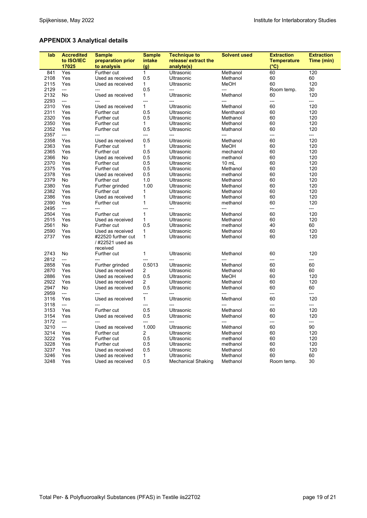# **APPENDIX 3 Analytical details**

| to ISO/IEC<br>preparation prior<br>intake<br>release/ extract the<br><b>Temperature</b><br>Time (min)<br>17025<br>to analysis<br>analyte(s)<br>(°C)<br>(g)<br>841<br>Yes<br>Further cut<br>$\mathbf{1}$<br>Ultrasonic<br>Methanol<br>60<br>120<br>2108<br>0.5<br>60<br>Yes<br>Used as received<br>Ultrasonic<br>Methanol<br>60<br>2115<br>Yes<br>$\mathbf{1}$<br>60<br>120<br>Used as received<br>Ultrasonic<br>MeOH<br>2129<br>0.5<br>30<br>Room temp.<br>---<br>---<br>---<br>---<br>2132<br>120<br>No<br>Used as received<br>1<br>Ultrasonic<br>Methanol<br>60<br>2293<br>$---$<br>---<br>---<br>---<br>$---$<br>---<br>$\overline{a}$<br>$\mathbf{1}$<br>2310<br>Yes<br>60<br>120<br>Used as received<br>Ultrasonic<br>Methanol<br>2311<br>0.5<br>120<br>Yes<br>Further cut<br>Ultrasonic<br>Menthanol<br>60<br>2320<br>Yes<br>0.5<br>60<br>120<br>Further cut<br>Ultrasonic<br>Methanol<br>2350<br>60<br>120<br>Yes<br>Further cut<br>1<br>Ultrasonic<br>Methanol<br>2352<br>Yes<br>0.5<br>60<br>120<br>Further cut<br>Ultrasonic<br>Mathanol<br>2357<br>$---$<br>---<br>$---$<br>---<br>---<br>---<br>2358<br>Yes<br>0.5<br>Ultrasonic<br>Methanol<br>60<br>120<br>Used as received<br>2363<br>$\mathbf{1}$<br>Ultrasonic<br><b>MeOH</b><br>60<br>120<br>Yes<br>Further cut<br>2365<br>Yes<br>0.5<br>60<br>120<br>Further cut<br>Ultrasonic<br>mechanol<br>2366<br>No<br>Used as received<br>0.5<br>60<br>120<br>Ultrasonic<br>methanol<br>2370<br>120<br>Yes<br>Further cut<br>0.5<br>60<br>Ultrasonic<br>$10 \mathrm{m}$<br>2375<br>Yes<br>Further cut<br>0.5<br>Ultrasonic<br>Methanol<br>60<br>120<br>2378<br>Yes<br>Used as received<br>0.5<br>60<br>120<br>Ultrasonic<br>methanol<br>2379<br>1.0<br>60<br>120<br>No<br>Further cut<br>Ultrasonic<br>Methanol<br>1.00<br>2380<br>Yes<br>Further grinded<br>Ultrasonic<br>Methanol<br>60<br>120<br>2382<br>$\mathbf{1}$<br>60<br>120<br>Yes<br>Further cut<br>Ultrasonic<br>Methanol<br>2386<br>1<br>60<br>120<br>Yes<br>Used as received<br>Ultrasonic<br>Methanol<br>2390<br>$\mathbf{1}$<br>120<br>Yes<br>Further cut<br>Ultrasonic<br>methanol<br>60<br>2495<br>---<br>---<br>---<br>---<br>$---$<br>---<br>---<br>$\mathbf{1}$<br>2504<br>120<br>Yes<br>Further cut<br>Ultrasonic<br>Methanol<br>60<br>2515<br>120<br>Yes<br>Used as received<br>1<br>Ultrasonic<br>Methanol<br>60<br>0.5<br>2561<br>No<br>Further cut<br>Ultrasonic<br>methanol<br>40<br>60<br>2590<br>Yes<br>60<br>120<br>Used as received<br>1<br>Ultrasonic<br>Methanol<br>2737<br>$\mathbf{1}$<br>120<br>Yes<br>#22520 further cut<br>Ultrasonic<br>Methanol<br>60<br>/ #22521 used as<br>received<br>120<br>2743<br><b>No</b><br>$\mathbf{1}$<br>Ultrasonic<br>60<br>Further cut<br>Methanol<br>2812<br>$---$<br>---<br>---<br>$---$<br>---<br>$---$<br>---<br>2858<br>Yes<br>Further grinded<br>0.5013<br>Ultrasonic<br>60<br>60<br>Methanol<br>2870<br>Used as received<br>2<br>Yes<br>Ultrasonic<br>Methanol<br>60<br>60<br>2886<br>Yes<br>Used as received<br>0.5<br>Ultrasonic<br>MeOH<br>60<br>120<br>2922<br>Yes<br>2<br>Methanol<br>60<br>120<br>Used as received<br>Ultrasonic<br>2947<br>$0.5\,$<br>60<br>60<br>No<br>Used as received<br>Ultrasonic<br>Methanol<br>2959<br>---<br>---<br>---<br>---<br>---<br>$---$<br>---<br>3116<br>$\mathbf{1}$<br>120<br>Yes<br>Used as received<br>Ultrasonic<br>Methanol<br>60<br>3118<br>$\overline{a}$<br>$---$<br>$---$<br>$\overline{a}$<br>---<br>---<br>---<br>3153<br>0.5<br>Yes<br>Further cut<br>Ultrasonic<br>Methanol<br>60<br>120<br>3154<br>Yes<br>Used as received<br>0.5<br>60<br>120<br>Ultrasonic<br>Methanol<br>3172<br>---<br>---<br>---<br>---<br>---<br>---<br>---<br>3210<br>1.000<br>90<br>$\overline{a}$<br>Used as received<br>Méthanol<br>60<br>Ultrasonic<br>3214<br>Yes<br>2<br>Ultrasonic<br>60<br>120<br>Further cut<br>Methanol<br>3222<br>0.5<br>60<br>120<br>Yes<br>Further cut<br>Ultrasonic<br>methanol<br>3228<br>0.5<br>120<br>Yes<br>Further cut<br>Ultrasonic<br>methanol<br>60<br>3237<br>Yes<br>Used as received<br>0.5<br>Ultrasonic<br>Methanol<br>60<br>120<br>3246<br>60<br>60<br>Yes<br>Used as received<br>1<br>Ultrasonic<br>Methanol<br>3248<br>Yes<br>0.5<br>30<br>Room temp.<br>Used as received<br>Methanol | lab | <b>Accredited</b> | <b>Sample</b> | <b>Sample</b> | <b>Technique to</b>       | <b>Solvent used</b> | <b>Extraction</b> | <b>Extraction</b> |
|-------------------------------------------------------------------------------------------------------------------------------------------------------------------------------------------------------------------------------------------------------------------------------------------------------------------------------------------------------------------------------------------------------------------------------------------------------------------------------------------------------------------------------------------------------------------------------------------------------------------------------------------------------------------------------------------------------------------------------------------------------------------------------------------------------------------------------------------------------------------------------------------------------------------------------------------------------------------------------------------------------------------------------------------------------------------------------------------------------------------------------------------------------------------------------------------------------------------------------------------------------------------------------------------------------------------------------------------------------------------------------------------------------------------------------------------------------------------------------------------------------------------------------------------------------------------------------------------------------------------------------------------------------------------------------------------------------------------------------------------------------------------------------------------------------------------------------------------------------------------------------------------------------------------------------------------------------------------------------------------------------------------------------------------------------------------------------------------------------------------------------------------------------------------------------------------------------------------------------------------------------------------------------------------------------------------------------------------------------------------------------------------------------------------------------------------------------------------------------------------------------------------------------------------------------------------------------------------------------------------------------------------------------------------------------------------------------------------------------------------------------------------------------------------------------------------------------------------------------------------------------------------------------------------------------------------------------------------------------------------------------------------------------------------------------------------------------------------------------------------------------------------------------------------------------------------------------------------------------------------------------------------------------------------------------------------------------------------------------------------------------------------------------------------------------------------------------------------------------------------------------------------------------------------------------------------------------------------------------------------------------------------------------------------------------------------------------------------------------------------------------------------------------------------------------------------------------------------------------------------------------------------------------------------------------------------------------------------------------------------------------------------------------------------------------------------------------------------------------------------------------------------------------------------------------------------------------------------------------------------------------|-----|-------------------|---------------|---------------|---------------------------|---------------------|-------------------|-------------------|
|                                                                                                                                                                                                                                                                                                                                                                                                                                                                                                                                                                                                                                                                                                                                                                                                                                                                                                                                                                                                                                                                                                                                                                                                                                                                                                                                                                                                                                                                                                                                                                                                                                                                                                                                                                                                                                                                                                                                                                                                                                                                                                                                                                                                                                                                                                                                                                                                                                                                                                                                                                                                                                                                                                                                                                                                                                                                                                                                                                                                                                                                                                                                                                                                                                                                                                                                                                                                                                                                                                                                                                                                                                                                                                                                                                                                                                                                                                                                                                                                                                                                                                                                                                                                                                                       |     |                   |               |               |                           |                     |                   |                   |
|                                                                                                                                                                                                                                                                                                                                                                                                                                                                                                                                                                                                                                                                                                                                                                                                                                                                                                                                                                                                                                                                                                                                                                                                                                                                                                                                                                                                                                                                                                                                                                                                                                                                                                                                                                                                                                                                                                                                                                                                                                                                                                                                                                                                                                                                                                                                                                                                                                                                                                                                                                                                                                                                                                                                                                                                                                                                                                                                                                                                                                                                                                                                                                                                                                                                                                                                                                                                                                                                                                                                                                                                                                                                                                                                                                                                                                                                                                                                                                                                                                                                                                                                                                                                                                                       |     |                   |               |               |                           |                     |                   |                   |
|                                                                                                                                                                                                                                                                                                                                                                                                                                                                                                                                                                                                                                                                                                                                                                                                                                                                                                                                                                                                                                                                                                                                                                                                                                                                                                                                                                                                                                                                                                                                                                                                                                                                                                                                                                                                                                                                                                                                                                                                                                                                                                                                                                                                                                                                                                                                                                                                                                                                                                                                                                                                                                                                                                                                                                                                                                                                                                                                                                                                                                                                                                                                                                                                                                                                                                                                                                                                                                                                                                                                                                                                                                                                                                                                                                                                                                                                                                                                                                                                                                                                                                                                                                                                                                                       |     |                   |               |               |                           |                     |                   |                   |
|                                                                                                                                                                                                                                                                                                                                                                                                                                                                                                                                                                                                                                                                                                                                                                                                                                                                                                                                                                                                                                                                                                                                                                                                                                                                                                                                                                                                                                                                                                                                                                                                                                                                                                                                                                                                                                                                                                                                                                                                                                                                                                                                                                                                                                                                                                                                                                                                                                                                                                                                                                                                                                                                                                                                                                                                                                                                                                                                                                                                                                                                                                                                                                                                                                                                                                                                                                                                                                                                                                                                                                                                                                                                                                                                                                                                                                                                                                                                                                                                                                                                                                                                                                                                                                                       |     |                   |               |               |                           |                     |                   |                   |
|                                                                                                                                                                                                                                                                                                                                                                                                                                                                                                                                                                                                                                                                                                                                                                                                                                                                                                                                                                                                                                                                                                                                                                                                                                                                                                                                                                                                                                                                                                                                                                                                                                                                                                                                                                                                                                                                                                                                                                                                                                                                                                                                                                                                                                                                                                                                                                                                                                                                                                                                                                                                                                                                                                                                                                                                                                                                                                                                                                                                                                                                                                                                                                                                                                                                                                                                                                                                                                                                                                                                                                                                                                                                                                                                                                                                                                                                                                                                                                                                                                                                                                                                                                                                                                                       |     |                   |               |               |                           |                     |                   |                   |
|                                                                                                                                                                                                                                                                                                                                                                                                                                                                                                                                                                                                                                                                                                                                                                                                                                                                                                                                                                                                                                                                                                                                                                                                                                                                                                                                                                                                                                                                                                                                                                                                                                                                                                                                                                                                                                                                                                                                                                                                                                                                                                                                                                                                                                                                                                                                                                                                                                                                                                                                                                                                                                                                                                                                                                                                                                                                                                                                                                                                                                                                                                                                                                                                                                                                                                                                                                                                                                                                                                                                                                                                                                                                                                                                                                                                                                                                                                                                                                                                                                                                                                                                                                                                                                                       |     |                   |               |               |                           |                     |                   |                   |
|                                                                                                                                                                                                                                                                                                                                                                                                                                                                                                                                                                                                                                                                                                                                                                                                                                                                                                                                                                                                                                                                                                                                                                                                                                                                                                                                                                                                                                                                                                                                                                                                                                                                                                                                                                                                                                                                                                                                                                                                                                                                                                                                                                                                                                                                                                                                                                                                                                                                                                                                                                                                                                                                                                                                                                                                                                                                                                                                                                                                                                                                                                                                                                                                                                                                                                                                                                                                                                                                                                                                                                                                                                                                                                                                                                                                                                                                                                                                                                                                                                                                                                                                                                                                                                                       |     |                   |               |               |                           |                     |                   |                   |
|                                                                                                                                                                                                                                                                                                                                                                                                                                                                                                                                                                                                                                                                                                                                                                                                                                                                                                                                                                                                                                                                                                                                                                                                                                                                                                                                                                                                                                                                                                                                                                                                                                                                                                                                                                                                                                                                                                                                                                                                                                                                                                                                                                                                                                                                                                                                                                                                                                                                                                                                                                                                                                                                                                                                                                                                                                                                                                                                                                                                                                                                                                                                                                                                                                                                                                                                                                                                                                                                                                                                                                                                                                                                                                                                                                                                                                                                                                                                                                                                                                                                                                                                                                                                                                                       |     |                   |               |               |                           |                     |                   |                   |
|                                                                                                                                                                                                                                                                                                                                                                                                                                                                                                                                                                                                                                                                                                                                                                                                                                                                                                                                                                                                                                                                                                                                                                                                                                                                                                                                                                                                                                                                                                                                                                                                                                                                                                                                                                                                                                                                                                                                                                                                                                                                                                                                                                                                                                                                                                                                                                                                                                                                                                                                                                                                                                                                                                                                                                                                                                                                                                                                                                                                                                                                                                                                                                                                                                                                                                                                                                                                                                                                                                                                                                                                                                                                                                                                                                                                                                                                                                                                                                                                                                                                                                                                                                                                                                                       |     |                   |               |               |                           |                     |                   |                   |
|                                                                                                                                                                                                                                                                                                                                                                                                                                                                                                                                                                                                                                                                                                                                                                                                                                                                                                                                                                                                                                                                                                                                                                                                                                                                                                                                                                                                                                                                                                                                                                                                                                                                                                                                                                                                                                                                                                                                                                                                                                                                                                                                                                                                                                                                                                                                                                                                                                                                                                                                                                                                                                                                                                                                                                                                                                                                                                                                                                                                                                                                                                                                                                                                                                                                                                                                                                                                                                                                                                                                                                                                                                                                                                                                                                                                                                                                                                                                                                                                                                                                                                                                                                                                                                                       |     |                   |               |               |                           |                     |                   |                   |
|                                                                                                                                                                                                                                                                                                                                                                                                                                                                                                                                                                                                                                                                                                                                                                                                                                                                                                                                                                                                                                                                                                                                                                                                                                                                                                                                                                                                                                                                                                                                                                                                                                                                                                                                                                                                                                                                                                                                                                                                                                                                                                                                                                                                                                                                                                                                                                                                                                                                                                                                                                                                                                                                                                                                                                                                                                                                                                                                                                                                                                                                                                                                                                                                                                                                                                                                                                                                                                                                                                                                                                                                                                                                                                                                                                                                                                                                                                                                                                                                                                                                                                                                                                                                                                                       |     |                   |               |               |                           |                     |                   |                   |
|                                                                                                                                                                                                                                                                                                                                                                                                                                                                                                                                                                                                                                                                                                                                                                                                                                                                                                                                                                                                                                                                                                                                                                                                                                                                                                                                                                                                                                                                                                                                                                                                                                                                                                                                                                                                                                                                                                                                                                                                                                                                                                                                                                                                                                                                                                                                                                                                                                                                                                                                                                                                                                                                                                                                                                                                                                                                                                                                                                                                                                                                                                                                                                                                                                                                                                                                                                                                                                                                                                                                                                                                                                                                                                                                                                                                                                                                                                                                                                                                                                                                                                                                                                                                                                                       |     |                   |               |               |                           |                     |                   |                   |
|                                                                                                                                                                                                                                                                                                                                                                                                                                                                                                                                                                                                                                                                                                                                                                                                                                                                                                                                                                                                                                                                                                                                                                                                                                                                                                                                                                                                                                                                                                                                                                                                                                                                                                                                                                                                                                                                                                                                                                                                                                                                                                                                                                                                                                                                                                                                                                                                                                                                                                                                                                                                                                                                                                                                                                                                                                                                                                                                                                                                                                                                                                                                                                                                                                                                                                                                                                                                                                                                                                                                                                                                                                                                                                                                                                                                                                                                                                                                                                                                                                                                                                                                                                                                                                                       |     |                   |               |               |                           |                     |                   |                   |
|                                                                                                                                                                                                                                                                                                                                                                                                                                                                                                                                                                                                                                                                                                                                                                                                                                                                                                                                                                                                                                                                                                                                                                                                                                                                                                                                                                                                                                                                                                                                                                                                                                                                                                                                                                                                                                                                                                                                                                                                                                                                                                                                                                                                                                                                                                                                                                                                                                                                                                                                                                                                                                                                                                                                                                                                                                                                                                                                                                                                                                                                                                                                                                                                                                                                                                                                                                                                                                                                                                                                                                                                                                                                                                                                                                                                                                                                                                                                                                                                                                                                                                                                                                                                                                                       |     |                   |               |               |                           |                     |                   |                   |
|                                                                                                                                                                                                                                                                                                                                                                                                                                                                                                                                                                                                                                                                                                                                                                                                                                                                                                                                                                                                                                                                                                                                                                                                                                                                                                                                                                                                                                                                                                                                                                                                                                                                                                                                                                                                                                                                                                                                                                                                                                                                                                                                                                                                                                                                                                                                                                                                                                                                                                                                                                                                                                                                                                                                                                                                                                                                                                                                                                                                                                                                                                                                                                                                                                                                                                                                                                                                                                                                                                                                                                                                                                                                                                                                                                                                                                                                                                                                                                                                                                                                                                                                                                                                                                                       |     |                   |               |               |                           |                     |                   |                   |
|                                                                                                                                                                                                                                                                                                                                                                                                                                                                                                                                                                                                                                                                                                                                                                                                                                                                                                                                                                                                                                                                                                                                                                                                                                                                                                                                                                                                                                                                                                                                                                                                                                                                                                                                                                                                                                                                                                                                                                                                                                                                                                                                                                                                                                                                                                                                                                                                                                                                                                                                                                                                                                                                                                                                                                                                                                                                                                                                                                                                                                                                                                                                                                                                                                                                                                                                                                                                                                                                                                                                                                                                                                                                                                                                                                                                                                                                                                                                                                                                                                                                                                                                                                                                                                                       |     |                   |               |               |                           |                     |                   |                   |
|                                                                                                                                                                                                                                                                                                                                                                                                                                                                                                                                                                                                                                                                                                                                                                                                                                                                                                                                                                                                                                                                                                                                                                                                                                                                                                                                                                                                                                                                                                                                                                                                                                                                                                                                                                                                                                                                                                                                                                                                                                                                                                                                                                                                                                                                                                                                                                                                                                                                                                                                                                                                                                                                                                                                                                                                                                                                                                                                                                                                                                                                                                                                                                                                                                                                                                                                                                                                                                                                                                                                                                                                                                                                                                                                                                                                                                                                                                                                                                                                                                                                                                                                                                                                                                                       |     |                   |               |               |                           |                     |                   |                   |
|                                                                                                                                                                                                                                                                                                                                                                                                                                                                                                                                                                                                                                                                                                                                                                                                                                                                                                                                                                                                                                                                                                                                                                                                                                                                                                                                                                                                                                                                                                                                                                                                                                                                                                                                                                                                                                                                                                                                                                                                                                                                                                                                                                                                                                                                                                                                                                                                                                                                                                                                                                                                                                                                                                                                                                                                                                                                                                                                                                                                                                                                                                                                                                                                                                                                                                                                                                                                                                                                                                                                                                                                                                                                                                                                                                                                                                                                                                                                                                                                                                                                                                                                                                                                                                                       |     |                   |               |               |                           |                     |                   |                   |
|                                                                                                                                                                                                                                                                                                                                                                                                                                                                                                                                                                                                                                                                                                                                                                                                                                                                                                                                                                                                                                                                                                                                                                                                                                                                                                                                                                                                                                                                                                                                                                                                                                                                                                                                                                                                                                                                                                                                                                                                                                                                                                                                                                                                                                                                                                                                                                                                                                                                                                                                                                                                                                                                                                                                                                                                                                                                                                                                                                                                                                                                                                                                                                                                                                                                                                                                                                                                                                                                                                                                                                                                                                                                                                                                                                                                                                                                                                                                                                                                                                                                                                                                                                                                                                                       |     |                   |               |               |                           |                     |                   |                   |
|                                                                                                                                                                                                                                                                                                                                                                                                                                                                                                                                                                                                                                                                                                                                                                                                                                                                                                                                                                                                                                                                                                                                                                                                                                                                                                                                                                                                                                                                                                                                                                                                                                                                                                                                                                                                                                                                                                                                                                                                                                                                                                                                                                                                                                                                                                                                                                                                                                                                                                                                                                                                                                                                                                                                                                                                                                                                                                                                                                                                                                                                                                                                                                                                                                                                                                                                                                                                                                                                                                                                                                                                                                                                                                                                                                                                                                                                                                                                                                                                                                                                                                                                                                                                                                                       |     |                   |               |               |                           |                     |                   |                   |
|                                                                                                                                                                                                                                                                                                                                                                                                                                                                                                                                                                                                                                                                                                                                                                                                                                                                                                                                                                                                                                                                                                                                                                                                                                                                                                                                                                                                                                                                                                                                                                                                                                                                                                                                                                                                                                                                                                                                                                                                                                                                                                                                                                                                                                                                                                                                                                                                                                                                                                                                                                                                                                                                                                                                                                                                                                                                                                                                                                                                                                                                                                                                                                                                                                                                                                                                                                                                                                                                                                                                                                                                                                                                                                                                                                                                                                                                                                                                                                                                                                                                                                                                                                                                                                                       |     |                   |               |               |                           |                     |                   |                   |
|                                                                                                                                                                                                                                                                                                                                                                                                                                                                                                                                                                                                                                                                                                                                                                                                                                                                                                                                                                                                                                                                                                                                                                                                                                                                                                                                                                                                                                                                                                                                                                                                                                                                                                                                                                                                                                                                                                                                                                                                                                                                                                                                                                                                                                                                                                                                                                                                                                                                                                                                                                                                                                                                                                                                                                                                                                                                                                                                                                                                                                                                                                                                                                                                                                                                                                                                                                                                                                                                                                                                                                                                                                                                                                                                                                                                                                                                                                                                                                                                                                                                                                                                                                                                                                                       |     |                   |               |               |                           |                     |                   |                   |
|                                                                                                                                                                                                                                                                                                                                                                                                                                                                                                                                                                                                                                                                                                                                                                                                                                                                                                                                                                                                                                                                                                                                                                                                                                                                                                                                                                                                                                                                                                                                                                                                                                                                                                                                                                                                                                                                                                                                                                                                                                                                                                                                                                                                                                                                                                                                                                                                                                                                                                                                                                                                                                                                                                                                                                                                                                                                                                                                                                                                                                                                                                                                                                                                                                                                                                                                                                                                                                                                                                                                                                                                                                                                                                                                                                                                                                                                                                                                                                                                                                                                                                                                                                                                                                                       |     |                   |               |               |                           |                     |                   |                   |
|                                                                                                                                                                                                                                                                                                                                                                                                                                                                                                                                                                                                                                                                                                                                                                                                                                                                                                                                                                                                                                                                                                                                                                                                                                                                                                                                                                                                                                                                                                                                                                                                                                                                                                                                                                                                                                                                                                                                                                                                                                                                                                                                                                                                                                                                                                                                                                                                                                                                                                                                                                                                                                                                                                                                                                                                                                                                                                                                                                                                                                                                                                                                                                                                                                                                                                                                                                                                                                                                                                                                                                                                                                                                                                                                                                                                                                                                                                                                                                                                                                                                                                                                                                                                                                                       |     |                   |               |               |                           |                     |                   |                   |
|                                                                                                                                                                                                                                                                                                                                                                                                                                                                                                                                                                                                                                                                                                                                                                                                                                                                                                                                                                                                                                                                                                                                                                                                                                                                                                                                                                                                                                                                                                                                                                                                                                                                                                                                                                                                                                                                                                                                                                                                                                                                                                                                                                                                                                                                                                                                                                                                                                                                                                                                                                                                                                                                                                                                                                                                                                                                                                                                                                                                                                                                                                                                                                                                                                                                                                                                                                                                                                                                                                                                                                                                                                                                                                                                                                                                                                                                                                                                                                                                                                                                                                                                                                                                                                                       |     |                   |               |               |                           |                     |                   |                   |
|                                                                                                                                                                                                                                                                                                                                                                                                                                                                                                                                                                                                                                                                                                                                                                                                                                                                                                                                                                                                                                                                                                                                                                                                                                                                                                                                                                                                                                                                                                                                                                                                                                                                                                                                                                                                                                                                                                                                                                                                                                                                                                                                                                                                                                                                                                                                                                                                                                                                                                                                                                                                                                                                                                                                                                                                                                                                                                                                                                                                                                                                                                                                                                                                                                                                                                                                                                                                                                                                                                                                                                                                                                                                                                                                                                                                                                                                                                                                                                                                                                                                                                                                                                                                                                                       |     |                   |               |               |                           |                     |                   |                   |
|                                                                                                                                                                                                                                                                                                                                                                                                                                                                                                                                                                                                                                                                                                                                                                                                                                                                                                                                                                                                                                                                                                                                                                                                                                                                                                                                                                                                                                                                                                                                                                                                                                                                                                                                                                                                                                                                                                                                                                                                                                                                                                                                                                                                                                                                                                                                                                                                                                                                                                                                                                                                                                                                                                                                                                                                                                                                                                                                                                                                                                                                                                                                                                                                                                                                                                                                                                                                                                                                                                                                                                                                                                                                                                                                                                                                                                                                                                                                                                                                                                                                                                                                                                                                                                                       |     |                   |               |               |                           |                     |                   |                   |
|                                                                                                                                                                                                                                                                                                                                                                                                                                                                                                                                                                                                                                                                                                                                                                                                                                                                                                                                                                                                                                                                                                                                                                                                                                                                                                                                                                                                                                                                                                                                                                                                                                                                                                                                                                                                                                                                                                                                                                                                                                                                                                                                                                                                                                                                                                                                                                                                                                                                                                                                                                                                                                                                                                                                                                                                                                                                                                                                                                                                                                                                                                                                                                                                                                                                                                                                                                                                                                                                                                                                                                                                                                                                                                                                                                                                                                                                                                                                                                                                                                                                                                                                                                                                                                                       |     |                   |               |               |                           |                     |                   |                   |
|                                                                                                                                                                                                                                                                                                                                                                                                                                                                                                                                                                                                                                                                                                                                                                                                                                                                                                                                                                                                                                                                                                                                                                                                                                                                                                                                                                                                                                                                                                                                                                                                                                                                                                                                                                                                                                                                                                                                                                                                                                                                                                                                                                                                                                                                                                                                                                                                                                                                                                                                                                                                                                                                                                                                                                                                                                                                                                                                                                                                                                                                                                                                                                                                                                                                                                                                                                                                                                                                                                                                                                                                                                                                                                                                                                                                                                                                                                                                                                                                                                                                                                                                                                                                                                                       |     |                   |               |               |                           |                     |                   |                   |
|                                                                                                                                                                                                                                                                                                                                                                                                                                                                                                                                                                                                                                                                                                                                                                                                                                                                                                                                                                                                                                                                                                                                                                                                                                                                                                                                                                                                                                                                                                                                                                                                                                                                                                                                                                                                                                                                                                                                                                                                                                                                                                                                                                                                                                                                                                                                                                                                                                                                                                                                                                                                                                                                                                                                                                                                                                                                                                                                                                                                                                                                                                                                                                                                                                                                                                                                                                                                                                                                                                                                                                                                                                                                                                                                                                                                                                                                                                                                                                                                                                                                                                                                                                                                                                                       |     |                   |               |               |                           |                     |                   |                   |
|                                                                                                                                                                                                                                                                                                                                                                                                                                                                                                                                                                                                                                                                                                                                                                                                                                                                                                                                                                                                                                                                                                                                                                                                                                                                                                                                                                                                                                                                                                                                                                                                                                                                                                                                                                                                                                                                                                                                                                                                                                                                                                                                                                                                                                                                                                                                                                                                                                                                                                                                                                                                                                                                                                                                                                                                                                                                                                                                                                                                                                                                                                                                                                                                                                                                                                                                                                                                                                                                                                                                                                                                                                                                                                                                                                                                                                                                                                                                                                                                                                                                                                                                                                                                                                                       |     |                   |               |               |                           |                     |                   |                   |
|                                                                                                                                                                                                                                                                                                                                                                                                                                                                                                                                                                                                                                                                                                                                                                                                                                                                                                                                                                                                                                                                                                                                                                                                                                                                                                                                                                                                                                                                                                                                                                                                                                                                                                                                                                                                                                                                                                                                                                                                                                                                                                                                                                                                                                                                                                                                                                                                                                                                                                                                                                                                                                                                                                                                                                                                                                                                                                                                                                                                                                                                                                                                                                                                                                                                                                                                                                                                                                                                                                                                                                                                                                                                                                                                                                                                                                                                                                                                                                                                                                                                                                                                                                                                                                                       |     |                   |               |               |                           |                     |                   |                   |
|                                                                                                                                                                                                                                                                                                                                                                                                                                                                                                                                                                                                                                                                                                                                                                                                                                                                                                                                                                                                                                                                                                                                                                                                                                                                                                                                                                                                                                                                                                                                                                                                                                                                                                                                                                                                                                                                                                                                                                                                                                                                                                                                                                                                                                                                                                                                                                                                                                                                                                                                                                                                                                                                                                                                                                                                                                                                                                                                                                                                                                                                                                                                                                                                                                                                                                                                                                                                                                                                                                                                                                                                                                                                                                                                                                                                                                                                                                                                                                                                                                                                                                                                                                                                                                                       |     |                   |               |               |                           |                     |                   |                   |
|                                                                                                                                                                                                                                                                                                                                                                                                                                                                                                                                                                                                                                                                                                                                                                                                                                                                                                                                                                                                                                                                                                                                                                                                                                                                                                                                                                                                                                                                                                                                                                                                                                                                                                                                                                                                                                                                                                                                                                                                                                                                                                                                                                                                                                                                                                                                                                                                                                                                                                                                                                                                                                                                                                                                                                                                                                                                                                                                                                                                                                                                                                                                                                                                                                                                                                                                                                                                                                                                                                                                                                                                                                                                                                                                                                                                                                                                                                                                                                                                                                                                                                                                                                                                                                                       |     |                   |               |               |                           |                     |                   |                   |
|                                                                                                                                                                                                                                                                                                                                                                                                                                                                                                                                                                                                                                                                                                                                                                                                                                                                                                                                                                                                                                                                                                                                                                                                                                                                                                                                                                                                                                                                                                                                                                                                                                                                                                                                                                                                                                                                                                                                                                                                                                                                                                                                                                                                                                                                                                                                                                                                                                                                                                                                                                                                                                                                                                                                                                                                                                                                                                                                                                                                                                                                                                                                                                                                                                                                                                                                                                                                                                                                                                                                                                                                                                                                                                                                                                                                                                                                                                                                                                                                                                                                                                                                                                                                                                                       |     |                   |               |               |                           |                     |                   |                   |
|                                                                                                                                                                                                                                                                                                                                                                                                                                                                                                                                                                                                                                                                                                                                                                                                                                                                                                                                                                                                                                                                                                                                                                                                                                                                                                                                                                                                                                                                                                                                                                                                                                                                                                                                                                                                                                                                                                                                                                                                                                                                                                                                                                                                                                                                                                                                                                                                                                                                                                                                                                                                                                                                                                                                                                                                                                                                                                                                                                                                                                                                                                                                                                                                                                                                                                                                                                                                                                                                                                                                                                                                                                                                                                                                                                                                                                                                                                                                                                                                                                                                                                                                                                                                                                                       |     |                   |               |               |                           |                     |                   |                   |
|                                                                                                                                                                                                                                                                                                                                                                                                                                                                                                                                                                                                                                                                                                                                                                                                                                                                                                                                                                                                                                                                                                                                                                                                                                                                                                                                                                                                                                                                                                                                                                                                                                                                                                                                                                                                                                                                                                                                                                                                                                                                                                                                                                                                                                                                                                                                                                                                                                                                                                                                                                                                                                                                                                                                                                                                                                                                                                                                                                                                                                                                                                                                                                                                                                                                                                                                                                                                                                                                                                                                                                                                                                                                                                                                                                                                                                                                                                                                                                                                                                                                                                                                                                                                                                                       |     |                   |               |               |                           |                     |                   |                   |
|                                                                                                                                                                                                                                                                                                                                                                                                                                                                                                                                                                                                                                                                                                                                                                                                                                                                                                                                                                                                                                                                                                                                                                                                                                                                                                                                                                                                                                                                                                                                                                                                                                                                                                                                                                                                                                                                                                                                                                                                                                                                                                                                                                                                                                                                                                                                                                                                                                                                                                                                                                                                                                                                                                                                                                                                                                                                                                                                                                                                                                                                                                                                                                                                                                                                                                                                                                                                                                                                                                                                                                                                                                                                                                                                                                                                                                                                                                                                                                                                                                                                                                                                                                                                                                                       |     |                   |               |               |                           |                     |                   |                   |
|                                                                                                                                                                                                                                                                                                                                                                                                                                                                                                                                                                                                                                                                                                                                                                                                                                                                                                                                                                                                                                                                                                                                                                                                                                                                                                                                                                                                                                                                                                                                                                                                                                                                                                                                                                                                                                                                                                                                                                                                                                                                                                                                                                                                                                                                                                                                                                                                                                                                                                                                                                                                                                                                                                                                                                                                                                                                                                                                                                                                                                                                                                                                                                                                                                                                                                                                                                                                                                                                                                                                                                                                                                                                                                                                                                                                                                                                                                                                                                                                                                                                                                                                                                                                                                                       |     |                   |               |               |                           |                     |                   |                   |
|                                                                                                                                                                                                                                                                                                                                                                                                                                                                                                                                                                                                                                                                                                                                                                                                                                                                                                                                                                                                                                                                                                                                                                                                                                                                                                                                                                                                                                                                                                                                                                                                                                                                                                                                                                                                                                                                                                                                                                                                                                                                                                                                                                                                                                                                                                                                                                                                                                                                                                                                                                                                                                                                                                                                                                                                                                                                                                                                                                                                                                                                                                                                                                                                                                                                                                                                                                                                                                                                                                                                                                                                                                                                                                                                                                                                                                                                                                                                                                                                                                                                                                                                                                                                                                                       |     |                   |               |               |                           |                     |                   |                   |
|                                                                                                                                                                                                                                                                                                                                                                                                                                                                                                                                                                                                                                                                                                                                                                                                                                                                                                                                                                                                                                                                                                                                                                                                                                                                                                                                                                                                                                                                                                                                                                                                                                                                                                                                                                                                                                                                                                                                                                                                                                                                                                                                                                                                                                                                                                                                                                                                                                                                                                                                                                                                                                                                                                                                                                                                                                                                                                                                                                                                                                                                                                                                                                                                                                                                                                                                                                                                                                                                                                                                                                                                                                                                                                                                                                                                                                                                                                                                                                                                                                                                                                                                                                                                                                                       |     |                   |               |               |                           |                     |                   |                   |
|                                                                                                                                                                                                                                                                                                                                                                                                                                                                                                                                                                                                                                                                                                                                                                                                                                                                                                                                                                                                                                                                                                                                                                                                                                                                                                                                                                                                                                                                                                                                                                                                                                                                                                                                                                                                                                                                                                                                                                                                                                                                                                                                                                                                                                                                                                                                                                                                                                                                                                                                                                                                                                                                                                                                                                                                                                                                                                                                                                                                                                                                                                                                                                                                                                                                                                                                                                                                                                                                                                                                                                                                                                                                                                                                                                                                                                                                                                                                                                                                                                                                                                                                                                                                                                                       |     |                   |               |               |                           |                     |                   |                   |
|                                                                                                                                                                                                                                                                                                                                                                                                                                                                                                                                                                                                                                                                                                                                                                                                                                                                                                                                                                                                                                                                                                                                                                                                                                                                                                                                                                                                                                                                                                                                                                                                                                                                                                                                                                                                                                                                                                                                                                                                                                                                                                                                                                                                                                                                                                                                                                                                                                                                                                                                                                                                                                                                                                                                                                                                                                                                                                                                                                                                                                                                                                                                                                                                                                                                                                                                                                                                                                                                                                                                                                                                                                                                                                                                                                                                                                                                                                                                                                                                                                                                                                                                                                                                                                                       |     |                   |               |               |                           |                     |                   |                   |
|                                                                                                                                                                                                                                                                                                                                                                                                                                                                                                                                                                                                                                                                                                                                                                                                                                                                                                                                                                                                                                                                                                                                                                                                                                                                                                                                                                                                                                                                                                                                                                                                                                                                                                                                                                                                                                                                                                                                                                                                                                                                                                                                                                                                                                                                                                                                                                                                                                                                                                                                                                                                                                                                                                                                                                                                                                                                                                                                                                                                                                                                                                                                                                                                                                                                                                                                                                                                                                                                                                                                                                                                                                                                                                                                                                                                                                                                                                                                                                                                                                                                                                                                                                                                                                                       |     |                   |               |               |                           |                     |                   |                   |
|                                                                                                                                                                                                                                                                                                                                                                                                                                                                                                                                                                                                                                                                                                                                                                                                                                                                                                                                                                                                                                                                                                                                                                                                                                                                                                                                                                                                                                                                                                                                                                                                                                                                                                                                                                                                                                                                                                                                                                                                                                                                                                                                                                                                                                                                                                                                                                                                                                                                                                                                                                                                                                                                                                                                                                                                                                                                                                                                                                                                                                                                                                                                                                                                                                                                                                                                                                                                                                                                                                                                                                                                                                                                                                                                                                                                                                                                                                                                                                                                                                                                                                                                                                                                                                                       |     |                   |               |               |                           |                     |                   |                   |
|                                                                                                                                                                                                                                                                                                                                                                                                                                                                                                                                                                                                                                                                                                                                                                                                                                                                                                                                                                                                                                                                                                                                                                                                                                                                                                                                                                                                                                                                                                                                                                                                                                                                                                                                                                                                                                                                                                                                                                                                                                                                                                                                                                                                                                                                                                                                                                                                                                                                                                                                                                                                                                                                                                                                                                                                                                                                                                                                                                                                                                                                                                                                                                                                                                                                                                                                                                                                                                                                                                                                                                                                                                                                                                                                                                                                                                                                                                                                                                                                                                                                                                                                                                                                                                                       |     |                   |               |               |                           |                     |                   |                   |
|                                                                                                                                                                                                                                                                                                                                                                                                                                                                                                                                                                                                                                                                                                                                                                                                                                                                                                                                                                                                                                                                                                                                                                                                                                                                                                                                                                                                                                                                                                                                                                                                                                                                                                                                                                                                                                                                                                                                                                                                                                                                                                                                                                                                                                                                                                                                                                                                                                                                                                                                                                                                                                                                                                                                                                                                                                                                                                                                                                                                                                                                                                                                                                                                                                                                                                                                                                                                                                                                                                                                                                                                                                                                                                                                                                                                                                                                                                                                                                                                                                                                                                                                                                                                                                                       |     |                   |               |               |                           |                     |                   |                   |
|                                                                                                                                                                                                                                                                                                                                                                                                                                                                                                                                                                                                                                                                                                                                                                                                                                                                                                                                                                                                                                                                                                                                                                                                                                                                                                                                                                                                                                                                                                                                                                                                                                                                                                                                                                                                                                                                                                                                                                                                                                                                                                                                                                                                                                                                                                                                                                                                                                                                                                                                                                                                                                                                                                                                                                                                                                                                                                                                                                                                                                                                                                                                                                                                                                                                                                                                                                                                                                                                                                                                                                                                                                                                                                                                                                                                                                                                                                                                                                                                                                                                                                                                                                                                                                                       |     |                   |               |               |                           |                     |                   |                   |
|                                                                                                                                                                                                                                                                                                                                                                                                                                                                                                                                                                                                                                                                                                                                                                                                                                                                                                                                                                                                                                                                                                                                                                                                                                                                                                                                                                                                                                                                                                                                                                                                                                                                                                                                                                                                                                                                                                                                                                                                                                                                                                                                                                                                                                                                                                                                                                                                                                                                                                                                                                                                                                                                                                                                                                                                                                                                                                                                                                                                                                                                                                                                                                                                                                                                                                                                                                                                                                                                                                                                                                                                                                                                                                                                                                                                                                                                                                                                                                                                                                                                                                                                                                                                                                                       |     |                   |               |               |                           |                     |                   |                   |
|                                                                                                                                                                                                                                                                                                                                                                                                                                                                                                                                                                                                                                                                                                                                                                                                                                                                                                                                                                                                                                                                                                                                                                                                                                                                                                                                                                                                                                                                                                                                                                                                                                                                                                                                                                                                                                                                                                                                                                                                                                                                                                                                                                                                                                                                                                                                                                                                                                                                                                                                                                                                                                                                                                                                                                                                                                                                                                                                                                                                                                                                                                                                                                                                                                                                                                                                                                                                                                                                                                                                                                                                                                                                                                                                                                                                                                                                                                                                                                                                                                                                                                                                                                                                                                                       |     |                   |               |               |                           |                     |                   |                   |
|                                                                                                                                                                                                                                                                                                                                                                                                                                                                                                                                                                                                                                                                                                                                                                                                                                                                                                                                                                                                                                                                                                                                                                                                                                                                                                                                                                                                                                                                                                                                                                                                                                                                                                                                                                                                                                                                                                                                                                                                                                                                                                                                                                                                                                                                                                                                                                                                                                                                                                                                                                                                                                                                                                                                                                                                                                                                                                                                                                                                                                                                                                                                                                                                                                                                                                                                                                                                                                                                                                                                                                                                                                                                                                                                                                                                                                                                                                                                                                                                                                                                                                                                                                                                                                                       |     |                   |               |               |                           |                     |                   |                   |
|                                                                                                                                                                                                                                                                                                                                                                                                                                                                                                                                                                                                                                                                                                                                                                                                                                                                                                                                                                                                                                                                                                                                                                                                                                                                                                                                                                                                                                                                                                                                                                                                                                                                                                                                                                                                                                                                                                                                                                                                                                                                                                                                                                                                                                                                                                                                                                                                                                                                                                                                                                                                                                                                                                                                                                                                                                                                                                                                                                                                                                                                                                                                                                                                                                                                                                                                                                                                                                                                                                                                                                                                                                                                                                                                                                                                                                                                                                                                                                                                                                                                                                                                                                                                                                                       |     |                   |               |               |                           |                     |                   |                   |
|                                                                                                                                                                                                                                                                                                                                                                                                                                                                                                                                                                                                                                                                                                                                                                                                                                                                                                                                                                                                                                                                                                                                                                                                                                                                                                                                                                                                                                                                                                                                                                                                                                                                                                                                                                                                                                                                                                                                                                                                                                                                                                                                                                                                                                                                                                                                                                                                                                                                                                                                                                                                                                                                                                                                                                                                                                                                                                                                                                                                                                                                                                                                                                                                                                                                                                                                                                                                                                                                                                                                                                                                                                                                                                                                                                                                                                                                                                                                                                                                                                                                                                                                                                                                                                                       |     |                   |               |               | <b>Mechanical Shaking</b> |                     |                   |                   |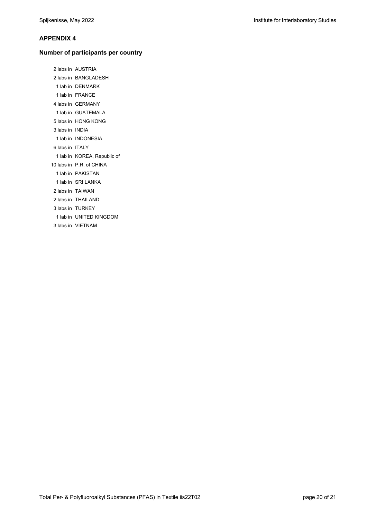#### **APPENDIX 4**

#### **Number of participants per country**

 2 labs in AUSTRIA 2 labs in BANGLADESH 1 lab in DENMARK 1 lab in FRANCE 4 labs in GERMANY 1 lab in GUATEMALA 5 labs in HONG KONG 3 labs in INDIA 1 lab in INDONESIA 6 labs in ITALY 1 lab in KOREA, Republic of 10 labs in P.R. of CHINA 1 lab in PAKISTAN 1 lab in SRI LANKA 2 labs in TAIWAN 2 labs in THAILAND 3 labs in TURKEY 1 lab in UNITED KINGDOM 3 labs in VIETNAM